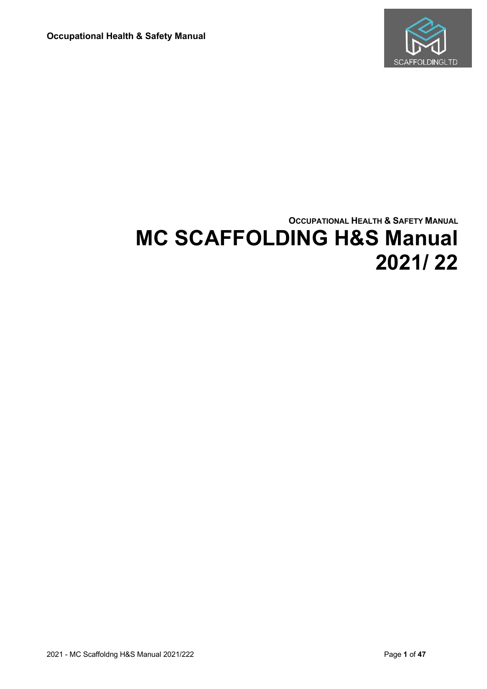

# **OCCUPATIONAL HEALTH & SAFETY MANUAL MC SCAFFOLDING H&S Manual 2021/ 22**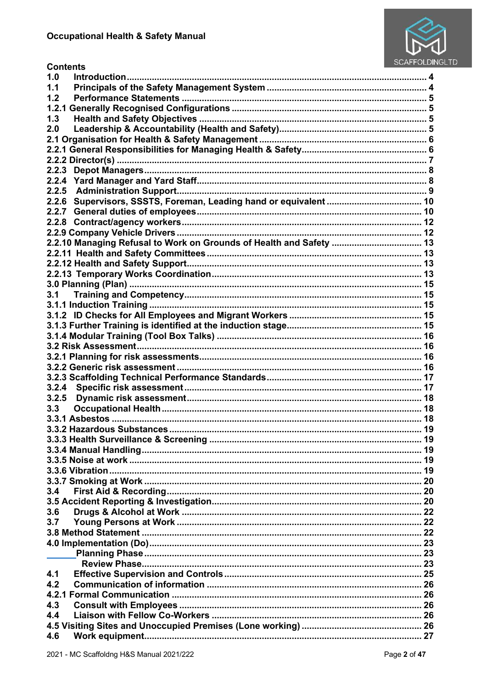**Contents** 



| 1.0<br>Introduction                                                 |  |
|---------------------------------------------------------------------|--|
| 1.1                                                                 |  |
| 1.2                                                                 |  |
| 1.2.1                                                               |  |
| 1.3                                                                 |  |
| 2.0                                                                 |  |
|                                                                     |  |
|                                                                     |  |
|                                                                     |  |
|                                                                     |  |
|                                                                     |  |
|                                                                     |  |
|                                                                     |  |
|                                                                     |  |
|                                                                     |  |
|                                                                     |  |
| 2.2.10 Managing Refusal to Work on Grounds of Health and Safety  13 |  |
|                                                                     |  |
|                                                                     |  |
|                                                                     |  |
|                                                                     |  |
| 3.1                                                                 |  |
|                                                                     |  |
|                                                                     |  |
|                                                                     |  |
|                                                                     |  |
|                                                                     |  |
|                                                                     |  |
|                                                                     |  |
|                                                                     |  |
| 3.2.4                                                               |  |
| 3.2.5                                                               |  |
| 3.3                                                                 |  |
|                                                                     |  |
|                                                                     |  |
|                                                                     |  |
|                                                                     |  |
|                                                                     |  |
|                                                                     |  |
|                                                                     |  |
| 3.4                                                                 |  |
|                                                                     |  |
| 3.6                                                                 |  |
| 3.7                                                                 |  |
|                                                                     |  |
|                                                                     |  |
|                                                                     |  |
|                                                                     |  |
| 4.1                                                                 |  |
| 4.2                                                                 |  |
|                                                                     |  |
| 4.3                                                                 |  |
| 4.4                                                                 |  |
|                                                                     |  |
| 4.6                                                                 |  |
|                                                                     |  |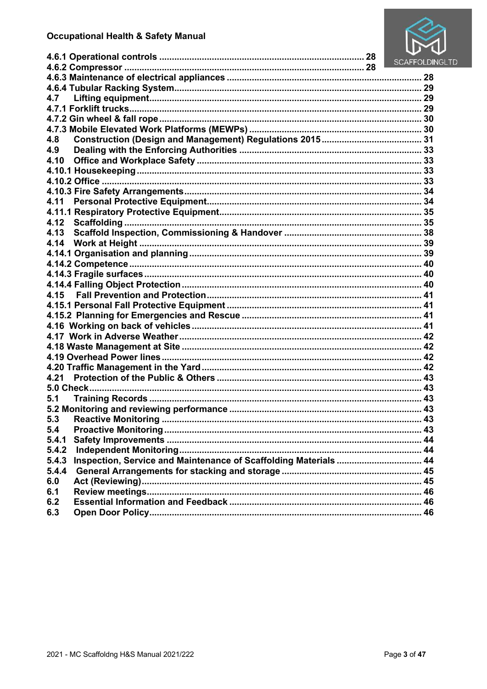

|                                                                           | <b>SCAFFOLDIN</b> |
|---------------------------------------------------------------------------|-------------------|
|                                                                           |                   |
|                                                                           |                   |
|                                                                           |                   |
| 4.7                                                                       |                   |
|                                                                           |                   |
|                                                                           |                   |
|                                                                           |                   |
| 4.8                                                                       |                   |
| 4.9                                                                       |                   |
| 4.10                                                                      |                   |
|                                                                           |                   |
|                                                                           |                   |
|                                                                           |                   |
| 4.11                                                                      |                   |
|                                                                           |                   |
| 4.12                                                                      |                   |
| 4.13                                                                      |                   |
| 4.14                                                                      |                   |
|                                                                           |                   |
|                                                                           |                   |
|                                                                           |                   |
|                                                                           |                   |
| 4.15                                                                      |                   |
|                                                                           |                   |
|                                                                           |                   |
|                                                                           |                   |
|                                                                           |                   |
|                                                                           |                   |
|                                                                           |                   |
|                                                                           |                   |
| 4.21                                                                      |                   |
|                                                                           |                   |
| 5.1                                                                       |                   |
|                                                                           |                   |
| <b>Reactive Monitoring</b><br>5.3                                         | 43                |
| 5.4                                                                       |                   |
| 5.4.1                                                                     |                   |
| 5.4.2                                                                     |                   |
| Inspection, Service and Maintenance of Scaffolding Materials  44<br>5.4.3 |                   |
| 5.4.4                                                                     |                   |
| 6.0                                                                       |                   |
| 6.1                                                                       |                   |
| 6.2                                                                       |                   |
| 6.3                                                                       |                   |
|                                                                           |                   |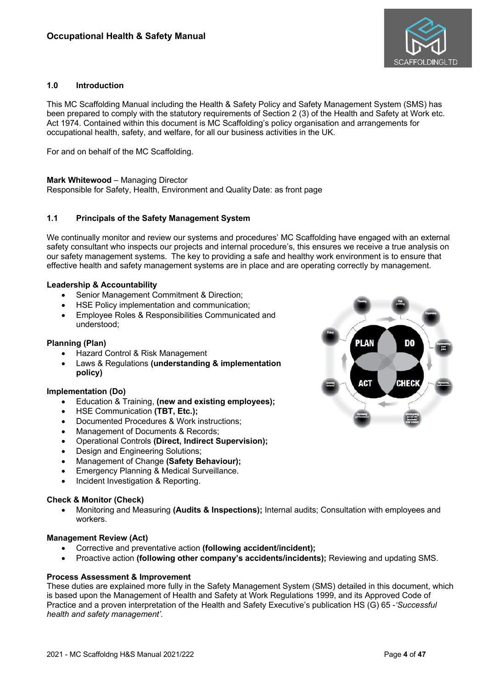

# **1.0 Introduction**

This MC Scaffolding Manual including the Health & Safety Policy and Safety Management System (SMS) has been prepared to comply with the statutory requirements of Section 2 (3) of the Health and Safety at Work etc. Act 1974. Contained within this document is MC Scaffolding's policy organisation and arrangements for occupational health, safety, and welfare, for all our business activities in the UK.

For and on behalf of the MC Scaffolding.

#### **Mark Whitewood** – Managing Director

Responsible for Safety, Health, Environment and Quality Date: as front page

### **1.1 Principals of the Safety Management System**

We continually monitor and review our systems and procedures' MC Scaffolding have engaged with an external safety consultant who inspects our projects and internal procedure's, this ensures we receive a true analysis on our safety management systems. The key to providing a safe and healthy work environment is to ensure that effective health and safety management systems are in place and are operating correctly by management.

### **Leadership & Accountability**

- Senior Management Commitment & Direction;
- HSE Policy implementation and communication;
- Employee Roles & Responsibilities Communicated and understood;

### **Planning (Plan)**

- Hazard Control & Risk Management
- Laws & Regulations **(understanding & implementation policy)**

### **Implementation (Do)**

- Education & Training, **(new and existing employees);**
- HSE Communication **(TBT, Etc.);**
- Documented Procedures & Work instructions;
- Management of Documents & Records;
- Operational Controls **(Direct, Indirect Supervision);**
- Design and Engineering Solutions;
- Management of Change **(Safety Behaviour);**
- Emergency Planning & Medical Surveillance.
- Incident Investigation & Reporting.

### **Check & Monitor (Check)**

• Monitoring and Measuring **(Audits & Inspections);** Internal audits; Consultation with employees and workers.

#### **Management Review (Act)**

- Corrective and preventative action **(following accident/incident);**
- Proactive action **(following other company's accidents/incidents);** Reviewing and updating SMS.

### **Process Assessment & Improvement**

These duties are explained more fully in the Safety Management System (SMS) detailed in this document, which is based upon the Management of Health and Safety at Work Regulations 1999, and its Approved Code of Practice and a proven interpretation of the Health and Safety Executive's publication HS (G) 65 -*'Successful health and safety management'.*

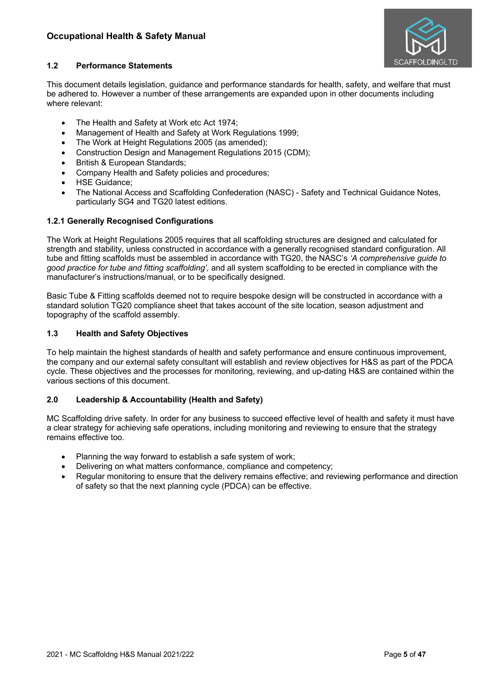

# **1.2 Performance Statements**

This document details legislation, guidance and performance standards for health, safety, and welfare that must be adhered to. However a number of these arrangements are expanded upon in other documents including where relevant:

- The Health and Safety at Work etc Act 1974;
- Management of Health and Safety at Work Regulations 1999;
- The Work at Height Regulations 2005 (as amended);
- Construction Design and Management Regulations 2015 (CDM);
- British & European Standards;
- Company Health and Safety policies and procedures;
- **HSE Guidance:**
- The National Access and Scaffolding Confederation (NASC) Safety and Technical Guidance Notes, particularly SG4 and TG20 latest editions.

### **1.2.1 Generally Recognised Configurations**

The Work at Height Regulations 2005 requires that all scaffolding structures are designed and calculated for strength and stability, unless constructed in accordance with a generally recognised standard configuration. All tube and fitting scaffolds must be assembled in accordance with TG20, the NASC's *'A comprehensive guide to good practice for tube and fitting scaffolding',* and all system scaffolding to be erected in compliance with the manufacturer's instructions/manual, or to be specifically designed.

Basic Tube & Fitting scaffolds deemed not to require bespoke design will be constructed in accordance with a standard solution TG20 compliance sheet that takes account of the site location, season adjustment and topography of the scaffold assembly.

### **1.3 Health and Safety Objectives**

To help maintain the highest standards of health and safety performance and ensure continuous improvement, the company and our external safety consultant will establish and review objectives for H&S as part of the PDCA cycle. These objectives and the processes for monitoring, reviewing, and up-dating H&S are contained within the various sections of this document.

# **2.0 Leadership & Accountability (Health and Safety)**

MC Scaffolding drive safety. In order for any business to succeed effective level of health and safety it must have a clear strategy for achieving safe operations, including monitoring and reviewing to ensure that the strategy remains effective too.

- Planning the way forward to establish a safe system of work;
- Delivering on what matters conformance, compliance and competency;
- Regular monitoring to ensure that the delivery remains effective; and reviewing performance and direction of safety so that the next planning cycle (PDCA) can be effective.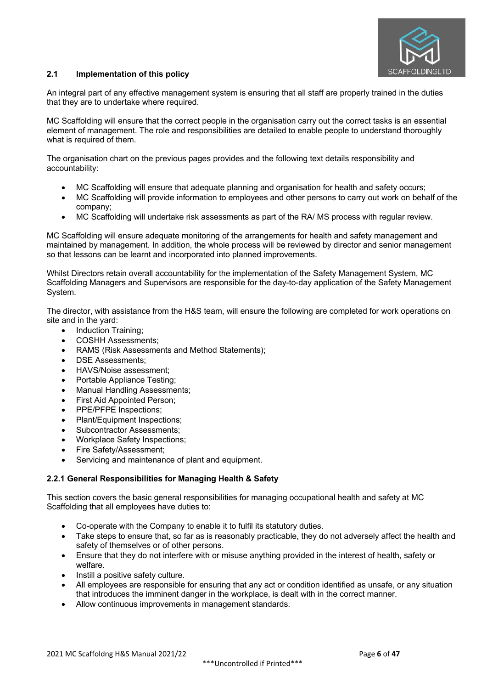

# **2.1 Implementation of this policy**

An integral part of any effective management system is ensuring that all staff are properly trained in the duties that they are to undertake where required.

MC Scaffolding will ensure that the correct people in the organisation carry out the correct tasks is an essential element of management. The role and responsibilities are detailed to enable people to understand thoroughly what is required of them.

The organisation chart on the previous pages provides and the following text details responsibility and accountability:

- MC Scaffolding will ensure that adequate planning and organisation for health and safety occurs;
- MC Scaffolding will provide information to employees and other persons to carry out work on behalf of the company;
- MC Scaffolding will undertake risk assessments as part of the RA/ MS process with regular review.

MC Scaffolding will ensure adequate monitoring of the arrangements for health and safety management and maintained by management. In addition, the whole process will be reviewed by director and senior management so that lessons can be learnt and incorporated into planned improvements.

Whilst Directors retain overall accountability for the implementation of the Safety Management System, MC Scaffolding Managers and Supervisors are responsible for the day-to-day application of the Safety Management System.

The director, with assistance from the H&S team, will ensure the following are completed for work operations on site and in the yard:

- Induction Training;
- COSHH Assessments;
- RAMS (Risk Assessments and Method Statements);
- DSE Assessments:
- HAVS/Noise assessment;
- Portable Appliance Testing;
- Manual Handling Assessments:
- First Aid Appointed Person:
- PPE/PFPE Inspections;
- Plant/Equipment Inspections;
- Subcontractor Assessments:
- Workplace Safety Inspections;
- Fire Safety/Assessment;
- Servicing and maintenance of plant and equipment.

# **2.2.1 General Responsibilities for Managing Health & Safety**

This section covers the basic general responsibilities for managing occupational health and safety at MC Scaffolding that all employees have duties to:

- Co-operate with the Company to enable it to fulfil its statutory duties.
- Take steps to ensure that, so far as is reasonably practicable, they do not adversely affect the health and safety of themselves or of other persons.
- Ensure that they do not interfere with or misuse anything provided in the interest of health, safety or welfare.
- Instill a positive safety culture.
- All employees are responsible for ensuring that any act or condition identified as unsafe, or any situation that introduces the imminent danger in the workplace, is dealt with in the correct manner.
- Allow continuous improvements in management standards.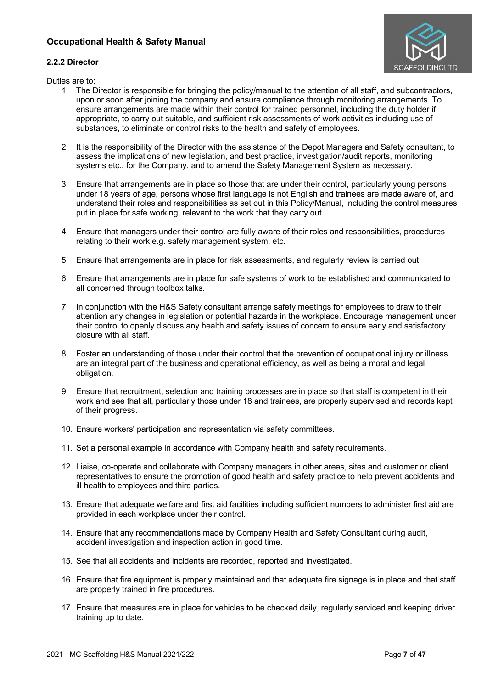



Duties are to:

- 1. The Director is responsible for bringing the policy/manual to the attention of all staff, and subcontractors, upon or soon after joining the company and ensure compliance through monitoring arrangements. To ensure arrangements are made within their control for trained personnel, including the duty holder if appropriate, to carry out suitable, and sufficient risk assessments of work activities including use of substances, to eliminate or control risks to the health and safety of employees.
- 2. It is the responsibility of the Director with the assistance of the Depot Managers and Safety consultant, to assess the implications of new legislation, and best practice, investigation/audit reports, monitoring systems etc., for the Company, and to amend the Safety Management System as necessary.
- 3. Ensure that arrangements are in place so those that are under their control, particularly young persons under 18 years of age, persons whose first language is not English and trainees are made aware of, and understand their roles and responsibilities as set out in this Policy/Manual, including the control measures put in place for safe working, relevant to the work that they carry out.
- 4. Ensure that managers under their control are fully aware of their roles and responsibilities, procedures relating to their work e.g. safety management system, etc.
- 5. Ensure that arrangements are in place for risk assessments, and regularly review is carried out.
- 6. Ensure that arrangements are in place for safe systems of work to be established and communicated to all concerned through toolbox talks.
- 7. In conjunction with the H&S Safety consultant arrange safety meetings for employees to draw to their attention any changes in legislation or potential hazards in the workplace. Encourage management under their control to openly discuss any health and safety issues of concern to ensure early and satisfactory closure with all staff.
- 8. Foster an understanding of those under their control that the prevention of occupational injury or illness are an integral part of the business and operational efficiency, as well as being a moral and legal obligation.
- 9. Ensure that recruitment, selection and training processes are in place so that staff is competent in their work and see that all, particularly those under 18 and trainees, are properly supervised and records kept of their progress.
- 10. Ensure workers' participation and representation via safety committees.
- 11. Set a personal example in accordance with Company health and safety requirements.
- 12. Liaise, co-operate and collaborate with Company managers in other areas, sites and customer or client representatives to ensure the promotion of good health and safety practice to help prevent accidents and ill health to employees and third parties.
- 13. Ensure that adequate welfare and first aid facilities including sufficient numbers to administer first aid are provided in each workplace under their control.
- 14. Ensure that any recommendations made by Company Health and Safety Consultant during audit, accident investigation and inspection action in good time.
- 15. See that all accidents and incidents are recorded, reported and investigated.
- 16. Ensure that fire equipment is properly maintained and that adequate fire signage is in place and that staff are properly trained in fire procedures.
- 17. Ensure that measures are in place for vehicles to be checked daily, regularly serviced and keeping driver training up to date.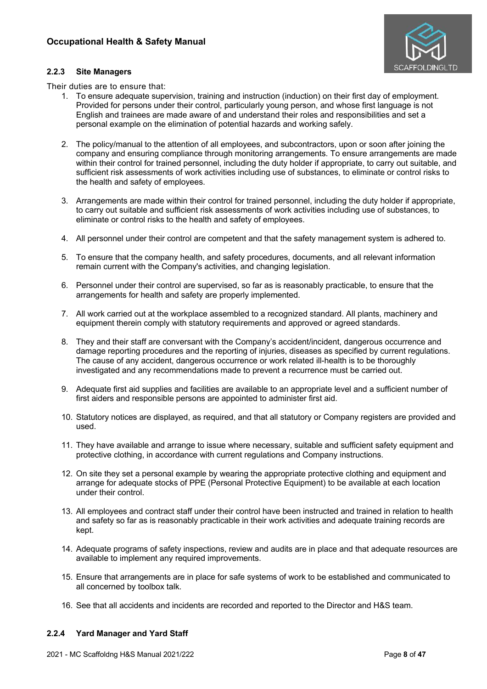

### **2.2.3 Site Managers**

Their duties are to ensure that:

- 1. To ensure adequate supervision, training and instruction (induction) on their first day of employment. Provided for persons under their control, particularly young person, and whose first language is not English and trainees are made aware of and understand their roles and responsibilities and set a personal example on the elimination of potential hazards and working safely.
- 2. The policy/manual to the attention of all employees, and subcontractors, upon or soon after joining the company and ensuring compliance through monitoring arrangements. To ensure arrangements are made within their control for trained personnel, including the duty holder if appropriate, to carry out suitable, and sufficient risk assessments of work activities including use of substances, to eliminate or control risks to the health and safety of employees.
- 3. Arrangements are made within their control for trained personnel, including the duty holder if appropriate, to carry out suitable and sufficient risk assessments of work activities including use of substances, to eliminate or control risks to the health and safety of employees.
- 4. All personnel under their control are competent and that the safety management system is adhered to.
- 5. To ensure that the company health, and safety procedures, documents, and all relevant information remain current with the Company's activities, and changing legislation.
- 6. Personnel under their control are supervised, so far as is reasonably practicable, to ensure that the arrangements for health and safety are properly implemented.
- 7. All work carried out at the workplace assembled to a recognized standard. All plants, machinery and equipment therein comply with statutory requirements and approved or agreed standards.
- 8. They and their staff are conversant with the Company's accident/incident, dangerous occurrence and damage reporting procedures and the reporting of injuries, diseases as specified by current regulations. The cause of any accident, dangerous occurrence or work related ill-health is to be thoroughly investigated and any recommendations made to prevent a recurrence must be carried out.
- 9. Adequate first aid supplies and facilities are available to an appropriate level and a sufficient number of first aiders and responsible persons are appointed to administer first aid.
- 10. Statutory notices are displayed, as required, and that all statutory or Company registers are provided and used.
- 11. They have available and arrange to issue where necessary, suitable and sufficient safety equipment and protective clothing, in accordance with current regulations and Company instructions.
- 12. On site they set a personal example by wearing the appropriate protective clothing and equipment and arrange for adequate stocks of PPE (Personal Protective Equipment) to be available at each location under their control.
- 13. All employees and contract staff under their control have been instructed and trained in relation to health and safety so far as is reasonably practicable in their work activities and adequate training records are kept.
- 14. Adequate programs of safety inspections, review and audits are in place and that adequate resources are available to implement any required improvements.
- 15. Ensure that arrangements are in place for safe systems of work to be established and communicated to all concerned by toolbox talk.
- 16. See that all accidents and incidents are recorded and reported to the Director and H&S team.

# **2.2.4 Yard Manager and Yard Staff**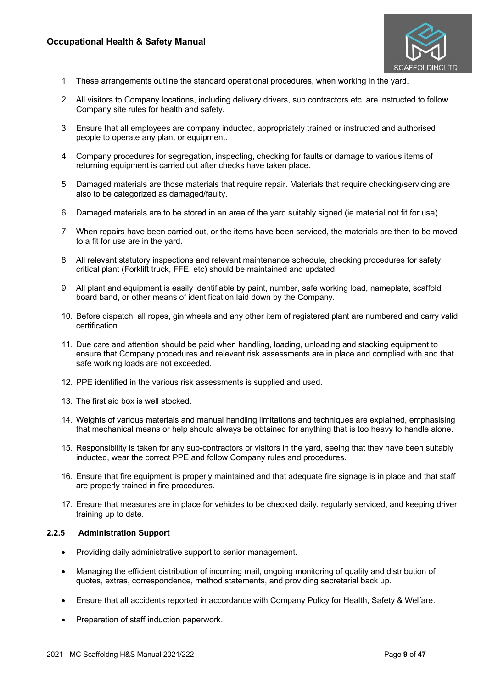

- 1. These arrangements outline the standard operational procedures, when working in the yard.
- 2. All visitors to Company locations, including delivery drivers, sub contractors etc. are instructed to follow Company site rules for health and safety.
- 3. Ensure that all employees are company inducted, appropriately trained or instructed and authorised people to operate any plant or equipment.
- 4. Company procedures for segregation, inspecting, checking for faults or damage to various items of returning equipment is carried out after checks have taken place.
- 5. Damaged materials are those materials that require repair. Materials that require checking/servicing are also to be categorized as damaged/faulty.
- 6. Damaged materials are to be stored in an area of the yard suitably signed (ie material not fit for use).
- 7. When repairs have been carried out, or the items have been serviced, the materials are then to be moved to a fit for use are in the yard.
- 8. All relevant statutory inspections and relevant maintenance schedule, checking procedures for safety critical plant (Forklift truck, FFE, etc) should be maintained and updated.
- 9. All plant and equipment is easily identifiable by paint, number, safe working load, nameplate, scaffold board band, or other means of identification laid down by the Company.
- 10. Before dispatch, all ropes, gin wheels and any other item of registered plant are numbered and carry valid certification.
- 11. Due care and attention should be paid when handling, loading, unloading and stacking equipment to ensure that Company procedures and relevant risk assessments are in place and complied with and that safe working loads are not exceeded.
- 12. PPE identified in the various risk assessments is supplied and used.
- 13. The first aid box is well stocked.
- 14. Weights of various materials and manual handling limitations and techniques are explained, emphasising that mechanical means or help should always be obtained for anything that is too heavy to handle alone.
- 15. Responsibility is taken for any sub-contractors or visitors in the yard, seeing that they have been suitably inducted, wear the correct PPE and follow Company rules and procedures.
- 16. Ensure that fire equipment is properly maintained and that adequate fire signage is in place and that staff are properly trained in fire procedures.
- 17. Ensure that measures are in place for vehicles to be checked daily, regularly serviced, and keeping driver training up to date.

### **2.2.5 Administration Support**

- Providing daily administrative support to senior management.
- Managing the efficient distribution of incoming mail, ongoing monitoring of quality and distribution of quotes, extras, correspondence, method statements, and providing secretarial back up.
- Ensure that all accidents reported in accordance with Company Policy for Health, Safety & Welfare.
- Preparation of staff induction paperwork.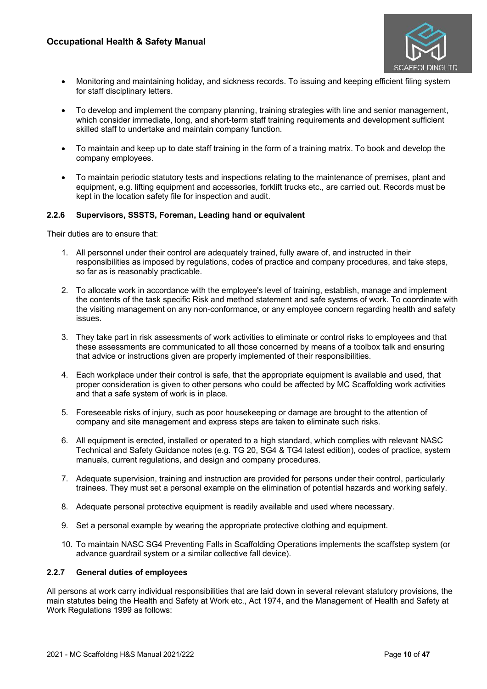

- Monitoring and maintaining holiday, and sickness records. To issuing and keeping efficient filing system for staff disciplinary letters.
- To develop and implement the company planning, training strategies with line and senior management, which consider immediate, long, and short-term staff training requirements and development sufficient skilled staff to undertake and maintain company function.
- To maintain and keep up to date staff training in the form of a training matrix. To book and develop the company employees.
- To maintain periodic statutory tests and inspections relating to the maintenance of premises, plant and equipment, e.g. lifting equipment and accessories, forklift trucks etc., are carried out. Records must be kept in the location safety file for inspection and audit.

### **2.2.6 Supervisors, SSSTS, Foreman, Leading hand or equivalent**

Their duties are to ensure that:

- 1. All personnel under their control are adequately trained, fully aware of, and instructed in their responsibilities as imposed by regulations, codes of practice and company procedures, and take steps, so far as is reasonably practicable.
- 2. To allocate work in accordance with the employee's level of training, establish, manage and implement the contents of the task specific Risk and method statement and safe systems of work. To coordinate with the visiting management on any non-conformance, or any employee concern regarding health and safety issues.
- 3. They take part in risk assessments of work activities to eliminate or control risks to employees and that these assessments are communicated to all those concerned by means of a toolbox talk and ensuring that advice or instructions given are properly implemented of their responsibilities.
- 4. Each workplace under their control is safe, that the appropriate equipment is available and used, that proper consideration is given to other persons who could be affected by MC Scaffolding work activities and that a safe system of work is in place.
- 5. Foreseeable risks of injury, such as poor housekeeping or damage are brought to the attention of company and site management and express steps are taken to eliminate such risks.
- 6. All equipment is erected, installed or operated to a high standard, which complies with relevant NASC Technical and Safety Guidance notes (e.g. TG 20, SG4 & TG4 latest edition), codes of practice, system manuals, current regulations, and design and company procedures.
- 7. Adequate supervision, training and instruction are provided for persons under their control, particularly trainees. They must set a personal example on the elimination of potential hazards and working safely.
- 8. Adequate personal protective equipment is readily available and used where necessary.
- 9. Set a personal example by wearing the appropriate protective clothing and equipment.
- 10. To maintain NASC SG4 Preventing Falls in Scaffolding Operations implements the scaffstep system (or advance guardrail system or a similar collective fall device).

# **2.2.7 General duties of employees**

All persons at work carry individual responsibilities that are laid down in several relevant statutory provisions, the main statutes being the Health and Safety at Work etc., Act 1974, and the Management of Health and Safety at Work Regulations 1999 as follows: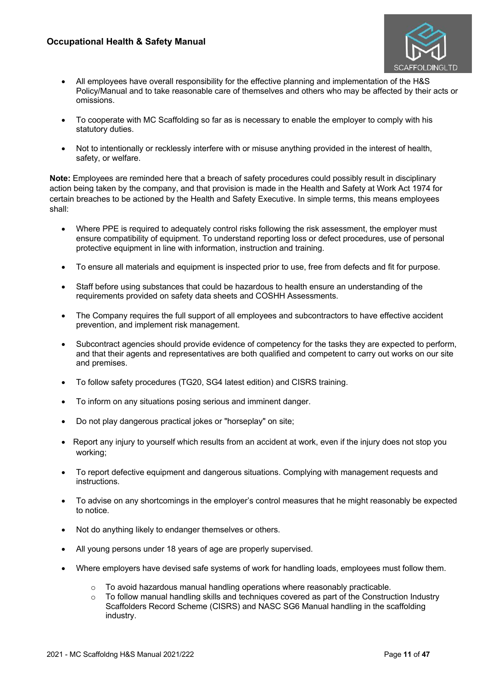

- All employees have overall responsibility for the effective planning and implementation of the H&S Policy/Manual and to take reasonable care of themselves and others who may be affected by their acts or omissions.
- To cooperate with MC Scaffolding so far as is necessary to enable the employer to comply with his statutory duties.
- Not to intentionally or recklessly interfere with or misuse anything provided in the interest of health, safety, or welfare.

**Note:** Employees are reminded here that a breach of safety procedures could possibly result in disciplinary action being taken by the company, and that provision is made in the Health and Safety at Work Act 1974 for certain breaches to be actioned by the Health and Safety Executive. In simple terms, this means employees shall:

- Where PPE is required to adequately control risks following the risk assessment, the employer must ensure compatibility of equipment. To understand reporting loss or defect procedures, use of personal protective equipment in line with information, instruction and training.
- To ensure all materials and equipment is inspected prior to use, free from defects and fit for purpose.
- Staff before using substances that could be hazardous to health ensure an understanding of the requirements provided on safety data sheets and COSHH Assessments.
- The Company requires the full support of all employees and subcontractors to have effective accident prevention, and implement risk management.
- Subcontract agencies should provide evidence of competency for the tasks they are expected to perform, and that their agents and representatives are both qualified and competent to carry out works on our site and premises.
- To follow safety procedures (TG20, SG4 latest edition) and CISRS training.
- To inform on any situations posing serious and imminent danger.
- Do not play dangerous practical jokes or "horseplay" on site;
- Report any injury to yourself which results from an accident at work, even if the injury does not stop you working;
- To report defective equipment and dangerous situations. Complying with management requests and instructions.
- To advise on any shortcomings in the employer's control measures that he might reasonably be expected to notice.
- Not do anything likely to endanger themselves or others.
- All young persons under 18 years of age are properly supervised.
- Where employers have devised safe systems of work for handling loads, employees must follow them.
	- o To avoid hazardous manual handling operations where reasonably practicable.
	- To follow manual handling skills and techniques covered as part of the Construction Industry Scaffolders Record Scheme (CISRS) and NASC SG6 Manual handling in the scaffolding industry.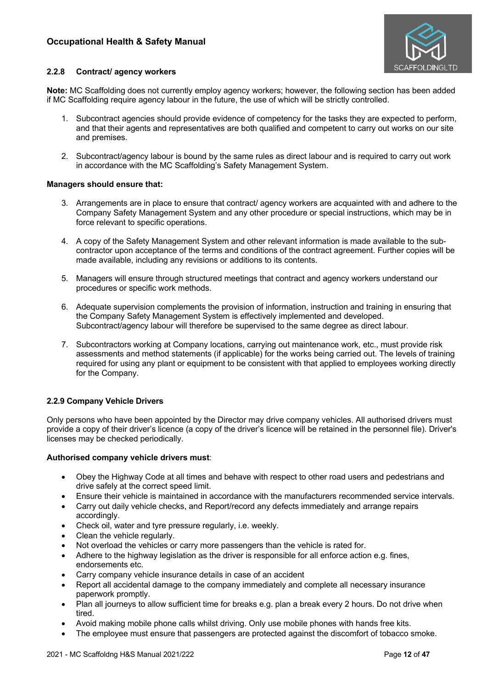

### **2.2.8 Contract/ agency workers**

**Note:** MC Scaffolding does not currently employ agency workers; however, the following section has been added if MC Scaffolding require agency labour in the future, the use of which will be strictly controlled.

- 1. Subcontract agencies should provide evidence of competency for the tasks they are expected to perform, and that their agents and representatives are both qualified and competent to carry out works on our site and premises.
- 2. Subcontract/agency labour is bound by the same rules as direct labour and is required to carry out work in accordance with the MC Scaffolding's Safety Management System.

### **Managers should ensure that:**

- 3. Arrangements are in place to ensure that contract/ agency workers are acquainted with and adhere to the Company Safety Management System and any other procedure or special instructions, which may be in force relevant to specific operations.
- 4. A copy of the Safety Management System and other relevant information is made available to the subcontractor upon acceptance of the terms and conditions of the contract agreement. Further copies will be made available, including any revisions or additions to its contents.
- 5. Managers will ensure through structured meetings that contract and agency workers understand our procedures or specific work methods.
- 6. Adequate supervision complements the provision of information, instruction and training in ensuring that the Company Safety Management System is effectively implemented and developed. Subcontract/agency labour will therefore be supervised to the same degree as direct labour.
- 7. Subcontractors working at Company locations, carrying out maintenance work, etc., must provide risk assessments and method statements (if applicable) for the works being carried out. The levels of training required for using any plant or equipment to be consistent with that applied to employees working directly for the Company.

# **2.2.9 Company Vehicle Drivers**

Only persons who have been appointed by the Director may drive company vehicles. All authorised drivers must provide a copy of their driver's licence (a copy of the driver's licence will be retained in the personnel file). Driver's licenses may be checked periodically.

### **Authorised company vehicle drivers must**:

- Obey the Highway Code at all times and behave with respect to other road users and pedestrians and drive safely at the correct speed limit.
- Ensure their vehicle is maintained in accordance with the manufacturers recommended service intervals.
- Carry out daily vehicle checks, and Report/record any defects immediately and arrange repairs accordingly.
- Check oil, water and tyre pressure regularly, i.e. weekly.
- Clean the vehicle regularly.
- Not overload the vehicles or carry more passengers than the vehicle is rated for.
- Adhere to the highway legislation as the driver is responsible for all enforce action e.g. fines, endorsements etc.
- Carry company vehicle insurance details in case of an accident
- Report all accidental damage to the company immediately and complete all necessary insurance paperwork promptly.
- Plan all journeys to allow sufficient time for breaks e.g. plan a break every 2 hours. Do not drive when tired.
- Avoid making mobile phone calls whilst driving. Only use mobile phones with hands free kits.
- The employee must ensure that passengers are protected against the discomfort of tobacco smoke.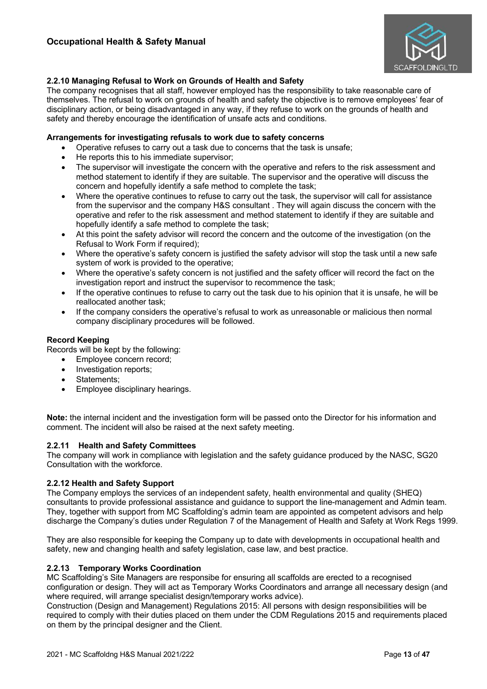

# **2.2.10 Managing Refusal to Work on Grounds of Health and Safety**

The company recognises that all staff, however employed has the responsibility to take reasonable care of themselves. The refusal to work on grounds of health and safety the objective is to remove employees' fear of disciplinary action, or being disadvantaged in any way, if they refuse to work on the grounds of health and safety and thereby encourage the identification of unsafe acts and conditions.

### **Arrangements for investigating refusals to work due to safety concerns**

- Operative refuses to carry out a task due to concerns that the task is unsafe;
- He reports this to his immediate supervisor;
- The supervisor will investigate the concern with the operative and refers to the risk assessment and method statement to identify if they are suitable. The supervisor and the operative will discuss the concern and hopefully identify a safe method to complete the task;
- Where the operative continues to refuse to carry out the task, the supervisor will call for assistance from the supervisor and the company H&S consultant . They will again discuss the concern with the operative and refer to the risk assessment and method statement to identify if they are suitable and hopefully identify a safe method to complete the task;
- At this point the safety advisor will record the concern and the outcome of the investigation (on the Refusal to Work Form if required);
- Where the operative's safety concern is justified the safety advisor will stop the task until a new safe system of work is provided to the operative;
- Where the operative's safety concern is not justified and the safety officer will record the fact on the investigation report and instruct the supervisor to recommence the task;
- If the operative continues to refuse to carry out the task due to his opinion that it is unsafe, he will be reallocated another task;
- If the company considers the operative's refusal to work as unreasonable or malicious then normal company disciplinary procedures will be followed.

### **Record Keeping**

Records will be kept by the following:

- Employee concern record;
- Investigation reports;
- Statements:
- Employee disciplinary hearings.

**Note:** the internal incident and the investigation form will be passed onto the Director for his information and comment. The incident will also be raised at the next safety meeting.

### **2.2.11 Health and Safety Committees**

The company will work in compliance with legislation and the safety guidance produced by the NASC, SG20 Consultation with the workforce.

### **2.2.12 Health and Safety Support**

The Company employs the services of an independent safety, health environmental and quality (SHEQ) consultants to provide professional assistance and guidance to support the line-management and Admin team. They, together with support from MC Scaffolding's admin team are appointed as competent advisors and help discharge the Company's duties under Regulation 7 of the Management of Health and Safety at Work Regs 1999.

They are also responsible for keeping the Company up to date with developments in occupational health and safety, new and changing health and safety legislation, case law, and best practice.

### **2.2.13 Temporary Works Coordination**

MC Scaffolding's Site Managers are responsibe for ensuring all scaffolds are erected to a recognised configuration or design. They will act as Temporary Works Coordinators and arrange all necessary design (and where required, will arrange specialist design/temporary works advice).

Construction (Design and Management) Regulations 2015: All persons with design responsibilities will be required to comply with their duties placed on them under the CDM Regulations 2015 and requirements placed on them by the principal designer and the Client.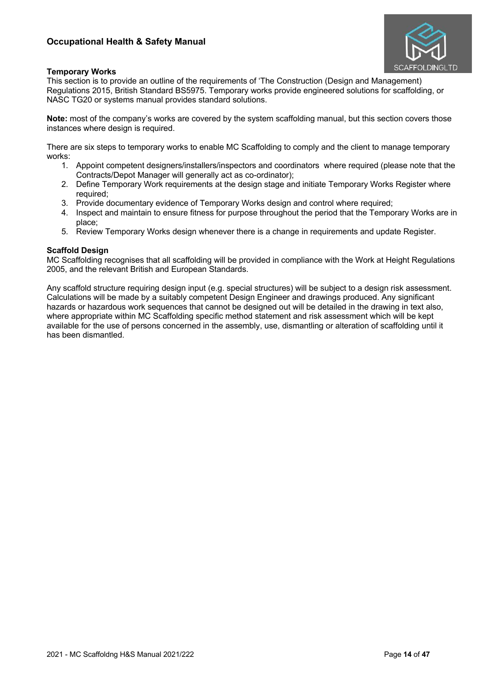

# **Temporary Works**

This section is to provide an outline of the requirements of 'The Construction (Design and Management) Regulations 2015, British Standard BS5975. Temporary works provide engineered solutions for scaffolding, or NASC TG20 or systems manual provides standard solutions.

**Note:** most of the company's works are covered by the system scaffolding manual, but this section covers those instances where design is required.

There are six steps to temporary works to enable MC Scaffolding to comply and the client to manage temporary works:

- 1. Appoint competent designers/installers/inspectors and coordinators where required (please note that the Contracts/Depot Manager will generally act as co-ordinator);
- 2. Define Temporary Work requirements at the design stage and initiate Temporary Works Register where required;
- 3. Provide documentary evidence of Temporary Works design and control where required;
- 4. Inspect and maintain to ensure fitness for purpose throughout the period that the Temporary Works are in place;
- 5. Review Temporary Works design whenever there is a change in requirements and update Register.

# **Scaffold Design**

MC Scaffolding recognises that all scaffolding will be provided in compliance with the Work at Height Regulations 2005, and the relevant British and European Standards.

Any scaffold structure requiring design input (e.g. special structures) will be subject to a design risk assessment. Calculations will be made by a suitably competent Design Engineer and drawings produced. Any significant hazards or hazardous work sequences that cannot be designed out will be detailed in the drawing in text also, where appropriate within MC Scaffolding specific method statement and risk assessment which will be kept available for the use of persons concerned in the assembly, use, dismantling or alteration of scaffolding until it has been dismantled.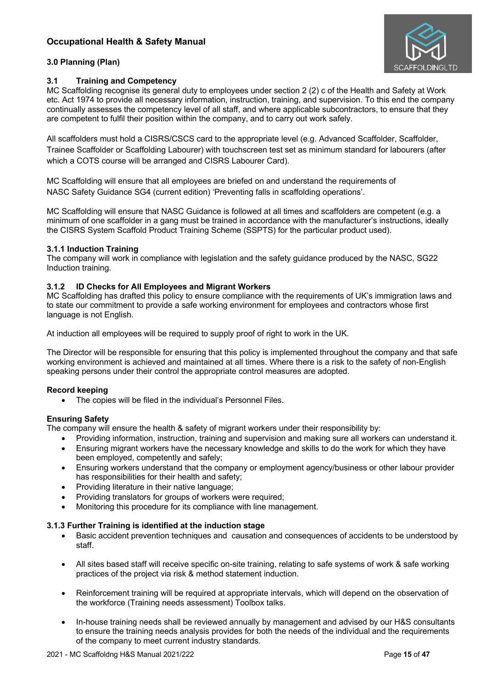

# **3.0 Planning (Plan)**

# **3.1 Training and Competency**

MC Scaffolding recognise its general duty to employees under section 2 (2) c of the Health and Safety at Work etc. Act 1974 to provide all necessary information, instruction, training, and supervision. To this end the company continually assesses the competency level of all staff, and where applicable subcontractors, to ensure that they are competent to fulfil their position within the company, and to carry out work safely.

All scaffolders must hold a CISRS/CSCS card to the appropriate level (e.g. Advanced Scaffolder, Scaffolder, Trainee Scaffolder or Scaffolding Labourer) with touchscreen test set as minimum standard for labourers (after which a COTS course will be arranged and CISRS Labourer Card).

MC Scaffolding will ensure that all employees are briefed on and understand the requirements of NASC Safety Guidance SG4 (current edition) 'Preventing falls in scaffolding operations'.

MC Scaffolding will ensure that NASC Guidance is followed at all times and scaffolders are competent (e.g. a minimum of one scaffolder in a gang must be trained in accordance with the manufacturer's instructions, ideally the CISRS System Scaffold Product Training Scheme (SSPTS) for the particular product used).

# **3.1.1 Induction Training**

The company will work in compliance with legislation and the safety guidance produced by the NASC, SG22 Induction training.

# **3.1.2 ID Checks for All Employees and Migrant Workers**

MC Scaffolding has drafted this policy to ensure compliance with the requirements of UK's immigration laws and to state our commitment to provide a safe working environment for employees and contractors whose first language is not English.

At induction all employees will be required to supply proof of right to work in the UK.

The Director will be responsible for ensuring that this policy is implemented throughout the company and that safe working environment is achieved and maintained at all times. Where there is a risk to the safety of non-English speaking persons under their control the appropriate control measures are adopted.

# **Record keeping**

• The copies will be filed in the individual's Personnel Files.

# **Ensuring Safety**

The company will ensure the health & safety of migrant workers under their responsibility by:

- Providing information, instruction, training and supervision and making sure all workers can understand it.
- Ensuring migrant workers have the necessary knowledge and skills to do the work for which they have been employed, competently and safely;
- Ensuring workers understand that the company or employment agency/business or other labour provider has responsibilities for their health and safety;
- Providing literature in their native language;
- Providing translators for groups of workers were required;
- Monitoring this procedure for its compliance with line management.

# **3.1.3 Further Training is identified at the induction stage**

- Basic accident prevention techniques and causation and consequences of accidents to be understood by staff.
- All sites based staff will receive specific on-site training, relating to safe systems of work & safe working practices of the project via risk & method statement induction.
- Reinforcement training will be required at appropriate intervals, which will depend on the observation of the workforce (Training needs assessment) Toolbox talks.
- In-house training needs shall be reviewed annually by management and advised by our H&S consultants to ensure the training needs analysis provides for both the needs of the individual and the requirements of the company to meet current industry standards.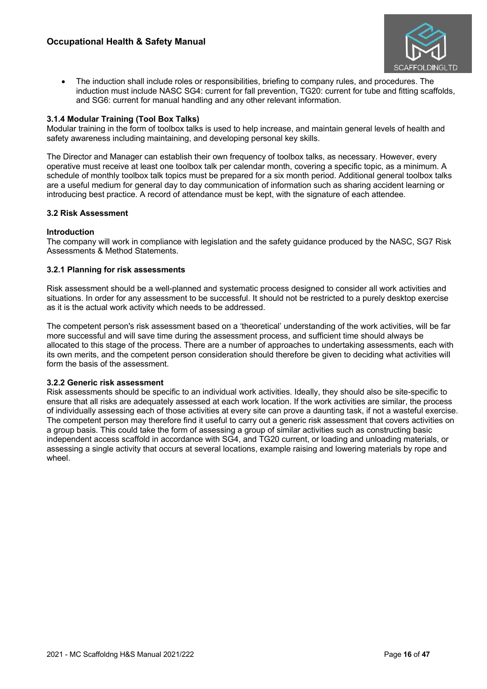

• The induction shall include roles or responsibilities, briefing to company rules, and procedures. The induction must include NASC SG4: current for fall prevention, TG20: current for tube and fitting scaffolds, and SG6: current for manual handling and any other relevant information.

# **3.1.4 Modular Training (Tool Box Talks)**

Modular training in the form of toolbox talks is used to help increase, and maintain general levels of health and safety awareness including maintaining, and developing personal key skills.

The Director and Manager can establish their own frequency of toolbox talks, as necessary. However, every operative must receive at least one toolbox talk per calendar month, covering a specific topic, as a minimum. A schedule of monthly toolbox talk topics must be prepared for a six month period. Additional general toolbox talks are a useful medium for general day to day communication of information such as sharing accident learning or introducing best practice. A record of attendance must be kept, with the signature of each attendee.

### **3.2 Risk Assessment**

### **Introduction**

The company will work in compliance with legislation and the safety guidance produced by the NASC, SG7 Risk Assessments & Method Statements.

### **3.2.1 Planning for risk assessments**

Risk assessment should be a well-planned and systematic process designed to consider all work activities and situations. In order for any assessment to be successful. It should not be restricted to a purely desktop exercise as it is the actual work activity which needs to be addressed.

The competent person's risk assessment based on a 'theoretical' understanding of the work activities, will be far more successful and will save time during the assessment process, and sufficient time should always be allocated to this stage of the process. There are a number of approaches to undertaking assessments, each with its own merits, and the competent person consideration should therefore be given to deciding what activities will form the basis of the assessment.

### **3.2.2 Generic risk assessment**

Risk assessments should be specific to an individual work activities. Ideally, they should also be site-specific to ensure that all risks are adequately assessed at each work location. If the work activities are similar, the process of individually assessing each of those activities at every site can prove a daunting task, if not a wasteful exercise. The competent person may therefore find it useful to carry out a generic risk assessment that covers activities on a group basis. This could take the form of assessing a group of similar activities such as constructing basic independent access scaffold in accordance with SG4, and TG20 current, or loading and unloading materials, or assessing a single activity that occurs at several locations, example raising and lowering materials by rope and wheel.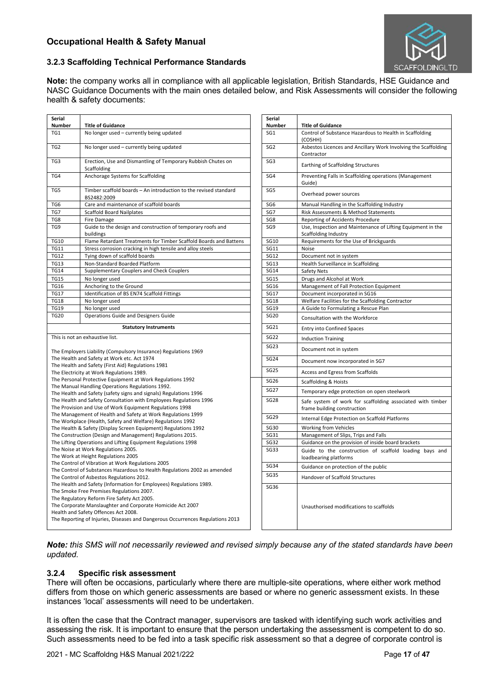

### **3.2.3 Scaffolding Technical Performance Standards**

**Note:** the company works all in compliance with all applicable legislation, British Standards, HSE Guidance and NASC Guidance Documents with the main ones detailed below, and Risk Assessments will consider the following health & safety documents:

| Serial                                                                                                                         |                                                                                                                                                                                                                                                                                                                                 | Serial                                            |                                                                                           |
|--------------------------------------------------------------------------------------------------------------------------------|---------------------------------------------------------------------------------------------------------------------------------------------------------------------------------------------------------------------------------------------------------------------------------------------------------------------------------|---------------------------------------------------|-------------------------------------------------------------------------------------------|
| <b>Number</b>                                                                                                                  | <b>Title of Guidance</b>                                                                                                                                                                                                                                                                                                        | Number                                            | <b>Title of Guidance</b>                                                                  |
| TG1                                                                                                                            | No longer used - currently being updated                                                                                                                                                                                                                                                                                        | SG1                                               | Control of Substance Hazardous to Health in Scaffolding<br>(COSHH)                        |
| TG <sub>2</sub>                                                                                                                | No longer used - currently being updated                                                                                                                                                                                                                                                                                        | SG <sub>2</sub>                                   | Asbestos Licences and Ancillary Work Involving the Scaffolding<br>Contractor              |
| TG3                                                                                                                            | Erection, Use and Dismantling of Temporary Rubbish Chutes on<br>Scaffolding                                                                                                                                                                                                                                                     | SG <sub>3</sub>                                   | Earthing of Scaffolding Structures                                                        |
| TG4                                                                                                                            | Anchorage Systems for Scaffolding                                                                                                                                                                                                                                                                                               | SG4                                               | Preventing Falls in Scaffolding operations (Management<br>Guide)                          |
| TG5                                                                                                                            | Timber scaffold boards - An introduction to the revised standard<br>BS2482:2009                                                                                                                                                                                                                                                 | SG <sub>5</sub>                                   | Overhead power sources                                                                    |
| TG6                                                                                                                            | Care and maintenance of scaffold boards                                                                                                                                                                                                                                                                                         | SG <sub>6</sub>                                   | Manual Handling in the Scaffolding Industry                                               |
| TG7                                                                                                                            | <b>Scaffold Board Nailplates</b>                                                                                                                                                                                                                                                                                                | SG7                                               | Risk Assessments & Method Statements                                                      |
| TG8                                                                                                                            | Fire Damage                                                                                                                                                                                                                                                                                                                     | SG8                                               | Reporting of Accidents Procedure                                                          |
| TG9                                                                                                                            | Guide to the design and construction of temporary roofs and<br>buildings                                                                                                                                                                                                                                                        | SG9                                               | Use, Inspection and Maintenance of Lifting Equipment in the<br>Scaffolding Industry       |
| <b>TG10</b>                                                                                                                    | Flame Retardant Treatments for Timber Scaffold Boards and Battens                                                                                                                                                                                                                                                               | SG10                                              | Requirements for the Use of Brickguards                                                   |
| <b>TG11</b>                                                                                                                    | Stress corrosion cracking in high tensile and alloy steels                                                                                                                                                                                                                                                                      | <b>SG11</b>                                       | Noise                                                                                     |
| <b>TG12</b>                                                                                                                    | Tying down of scaffold boards                                                                                                                                                                                                                                                                                                   | <b>SG12</b>                                       | Document not in system                                                                    |
| <b>TG13</b>                                                                                                                    | Non-Standard Boarded Platform                                                                                                                                                                                                                                                                                                   | <b>SG13</b>                                       | Health Surveillance in Scaffolding                                                        |
| <b>TG14</b>                                                                                                                    | Supplementary Couplers and Check Couplers                                                                                                                                                                                                                                                                                       | <b>SG14</b>                                       | Safety Nets                                                                               |
| <b>TG15</b>                                                                                                                    | No longer used                                                                                                                                                                                                                                                                                                                  | <b>SG15</b>                                       | Drugs and Alcohol at Work                                                                 |
| <b>TG16</b>                                                                                                                    | Anchoring to the Ground                                                                                                                                                                                                                                                                                                         | SG16                                              | Management of Fall Protection Equipment                                                   |
| <b>TG17</b>                                                                                                                    | Identification of BS EN74 Scaffold Fittings                                                                                                                                                                                                                                                                                     | <b>SG17</b>                                       | Document incorporated in SG16                                                             |
| <b>TG18</b>                                                                                                                    | No longer used                                                                                                                                                                                                                                                                                                                  | <b>SG18</b>                                       | Welfare Facilities for the Scaffolding Contractor                                         |
| <b>TG19</b><br><b>TG20</b>                                                                                                     | No longer used<br><b>Operations Guide and Designers Guide</b>                                                                                                                                                                                                                                                                   | <b>SG19</b><br><b>SG20</b>                        | A Guide to Formulating a Rescue Plan                                                      |
|                                                                                                                                |                                                                                                                                                                                                                                                                                                                                 |                                                   | Consultation with the Workforce                                                           |
| <b>Statutory Instruments</b>                                                                                                   |                                                                                                                                                                                                                                                                                                                                 | SG21                                              | <b>Entry into Confined Spaces</b>                                                         |
|                                                                                                                                |                                                                                                                                                                                                                                                                                                                                 |                                                   | <b>Induction Training</b>                                                                 |
| The Employers Liability (Compulsory Insurance) Regulations 1969                                                                |                                                                                                                                                                                                                                                                                                                                 | <b>SG23</b>                                       | Document not in system                                                                    |
| The Health and Safety at Work etc. Act 1974<br>The Health and Safety (First Aid) Regulations 1981                              |                                                                                                                                                                                                                                                                                                                                 | <b>SG24</b>                                       | Document now incorporated in SG7                                                          |
|                                                                                                                                | The Electricity at Work Regulations 1989.                                                                                                                                                                                                                                                                                       |                                                   | Access and Egress from Scaffolds                                                          |
| The Personal Protective Equipment at Work Regulations 1992                                                                     |                                                                                                                                                                                                                                                                                                                                 | <b>SG26</b>                                       | <b>Scaffolding &amp; Hoists</b>                                                           |
| The Health and Safety (safety signs and signals) Regulations 1996                                                              |                                                                                                                                                                                                                                                                                                                                 |                                                   | Temporary edge protection on open steelwork                                               |
| The Health and Safety Consultation with Employees Regulations 1996<br>The Provision and Use of Work Equipment Regulations 1998 |                                                                                                                                                                                                                                                                                                                                 | <b>SG28</b>                                       | Safe system of work for scaffolding associated with timber<br>frame building construction |
|                                                                                                                                |                                                                                                                                                                                                                                                                                                                                 | <b>SG29</b>                                       | Internal Edge Protection on Scaffold Platforms                                            |
|                                                                                                                                | The Health & Safety (Display Screen Equipment) Regulations 1992                                                                                                                                                                                                                                                                 | <b>SG30</b>                                       | <b>Working from Vehicles</b>                                                              |
|                                                                                                                                | The Construction (Design and Management) Regulations 2015.                                                                                                                                                                                                                                                                      | SG31                                              | Management of Slips, Trips and Falls                                                      |
|                                                                                                                                | The Lifting Operations and Lifting Equipment Regulations 1998                                                                                                                                                                                                                                                                   | <b>SG32</b>                                       | Guidance on the provision of inside board brackets                                        |
|                                                                                                                                | The Noise at Work Regulations 2005.<br>The Work at Height Regulations 2005                                                                                                                                                                                                                                                      | <b>SG33</b>                                       | Guide to the construction of scaffold loading bays and<br>loadbearing platforms           |
|                                                                                                                                | The Control of Vibration at Work Regulations 2005                                                                                                                                                                                                                                                                               | <b>SG34</b>                                       |                                                                                           |
| The Control of Substances Hazardous to Health Regulations 2002 as amended<br>The Control of Asbestos Regulations 2012.         |                                                                                                                                                                                                                                                                                                                                 | <b>SG35</b>                                       | Handover of Scaffold Structures                                                           |
| The Health and Safety (Information for Employees) Regulations 1989.                                                            |                                                                                                                                                                                                                                                                                                                                 |                                                   |                                                                                           |
|                                                                                                                                | The Smoke Free Premises Regulations 2007.                                                                                                                                                                                                                                                                                       |                                                   |                                                                                           |
|                                                                                                                                |                                                                                                                                                                                                                                                                                                                                 |                                                   |                                                                                           |
|                                                                                                                                |                                                                                                                                                                                                                                                                                                                                 |                                                   | Unauthorised modifications to scaffolds                                                   |
| Health and Safety Offences Act 2008.<br>The Reporting of Injuries, Diseases and Dangerous Occurrences Regulations 2013         |                                                                                                                                                                                                                                                                                                                                 |                                                   |                                                                                           |
|                                                                                                                                | This is not an exhaustive list.<br>The Manual Handling Operations Regulations 1992.<br>The Management of Health and Safety at Work Regulations 1999<br>The Workplace (Health, Safety and Welfare) Regulations 1992<br>The Regulatory Reform Fire Safety Act 2005.<br>The Corporate Manslaughter and Corporate Homicide Act 2007 | <b>SG22</b><br><b>SG25</b><br><b>SG27</b><br>SG36 | Guidance on protection of the public                                                      |

*Note: this SMS will not necessarily reviewed and revised simply because any of the stated standards have been updated.*

# **3.2.4 Specific risk assessment**

There will often be occasions, particularly where there are multiple-site operations, where either work method differs from those on which generic assessments are based or where no generic assessment exists. In these instances 'local' assessments will need to be undertaken.

It is often the case that the Contract manager, supervisors are tasked with identifying such work activities and assessing the risk. It is important to ensure that the person undertaking the assessment is competent to do so. Such assessments need to be fed into a task specific risk assessment so that a degree of corporate control is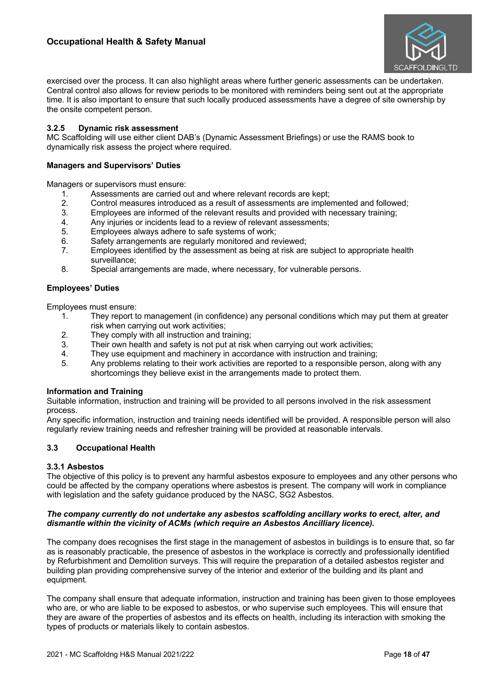

exercised over the process. It can also highlight areas where further generic assessments can be undertaken. Central control also allows for review periods to be monitored with reminders being sent out at the appropriate time. It is also important to ensure that such locally produced assessments have a degree of site ownership by the onsite competent person.

### **3.2.5 Dynamic risk assessment**

MC Scaffolding will use either client DAB's (Dynamic Assessment Briefings) or use the RAMS book to dynamically risk assess the project where required.

#### **Managers and Supervisors' Duties**

Managers or supervisors must ensure:

- 1. Assessments are carried out and where relevant records are kept;<br>2. Control measures introduced as a result of assessments are imple
- 2. Control measures introduced as a result of assessments are implemented and followed;<br>3. Employees are informed of the relevant results and provided with necessary training:
- Employees are informed of the relevant results and provided with necessary training;
- 4. Any injuries or incidents lead to a review of relevant assessments;<br>5. Employees always adhere to safe systems of work:
- Employees always adhere to safe systems of work;
- 6. Safety arrangements are regularly monitored and reviewed;
- 7. Employees identified by the assessment as being at risk are subject to appropriate health surveillance;
- 8. Special arrangements are made, where necessary, for vulnerable persons.

### **Employees' Duties**

Employees must ensure:

- 1. They report to management (in confidence) any personal conditions which may put them at greater risk when carrying out work activities;
- 2. They comply with all instruction and training;<br>3. Their own health and safety is not put at risk
- Their own health and safety is not put at risk when carrying out work activities;
- 4. They use equipment and machinery in accordance with instruction and training;
- 5. Any problems relating to their work activities are reported to a responsible person, along with any shortcomings they believe exist in the arrangements made to protect them.

#### **Information and Training**

Suitable information, instruction and training will be provided to all persons involved in the risk assessment process.

Any specific information, instruction and training needs identified will be provided. A responsible person will also regularly review training needs and refresher training will be provided at reasonable intervals.

### **3.3 Occupational Health**

### **3.3.1 Asbestos**

The objective of this policy is to prevent any harmful asbestos exposure to employees and any other persons who could be affected by the company operations where asbestos is present. The company will work in compliance with legislation and the safety guidance produced by the NASC, SG2 Asbestos.

### *The company currently do not undertake any asbestos scaffolding ancillary works to erect, alter, and dismantle within the vicinity of ACMs (which require an Asbestos Ancilliary licence).*

The company does recognises the first stage in the management of asbestos in buildings is to ensure that, so far as is reasonably practicable, the presence of asbestos in the workplace is correctly and professionally identified by Refurbishment and Demolition surveys. This will require the preparation of a detailed asbestos register and building plan providing comprehensive survey of the interior and exterior of the building and its plant and equipment.

The company shall ensure that adequate information, instruction and training has been given to those employees who are, or who are liable to be exposed to asbestos, or who supervise such employees. This will ensure that they are aware of the properties of asbestos and its effects on health, including its interaction with smoking the types of products or materials likely to contain asbestos.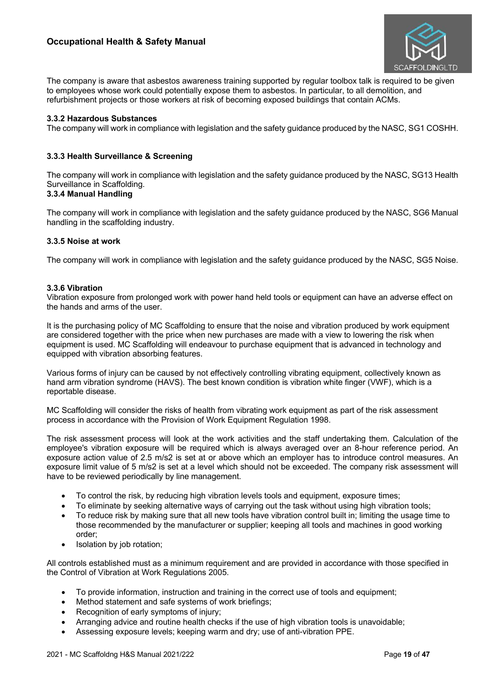

The company is aware that asbestos awareness training supported by regular toolbox talk is required to be given to employees whose work could potentially expose them to asbestos. In particular, to all demolition, and refurbishment projects or those workers at risk of becoming exposed buildings that contain ACMs.

### **3.3.2 Hazardous Substances**

The company will work in compliance with legislation and the safety guidance produced by the NASC, SG1 COSHH.

### **3.3.3 Health Surveillance & Screening**

The company will work in compliance with legislation and the safety guidance produced by the NASC, SG13 Health Surveillance in Scaffolding.

# **3.3.4 Manual Handling**

The company will work in compliance with legislation and the safety guidance produced by the NASC, SG6 Manual handling in the scaffolding industry.

### **3.3.5 Noise at work**

The company will work in compliance with legislation and the safety guidance produced by the NASC, SG5 Noise.

### **3.3.6 Vibration**

Vibration exposure from prolonged work with power hand held tools or equipment can have an adverse effect on the hands and arms of the user.

It is the purchasing policy of MC Scaffolding to ensure that the noise and vibration produced by work equipment are considered together with the price when new purchases are made with a view to lowering the risk when equipment is used. MC Scaffolding will endeavour to purchase equipment that is advanced in technology and equipped with vibration absorbing features.

Various forms of injury can be caused by not effectively controlling vibrating equipment, collectively known as hand arm vibration syndrome (HAVS). The best known condition is vibration white finger (VWF), which is a reportable disease.

MC Scaffolding will consider the risks of health from vibrating work equipment as part of the risk assessment process in accordance with the Provision of Work Equipment Regulation 1998.

The risk assessment process will look at the work activities and the staff undertaking them. Calculation of the employee's vibration exposure will be required which is always averaged over an 8-hour reference period. An exposure action value of 2.5 m/s2 is set at or above which an employer has to introduce control measures. An exposure limit value of 5 m/s2 is set at a level which should not be exceeded. The company risk assessment will have to be reviewed periodically by line management.

- To control the risk, by reducing high vibration levels tools and equipment, exposure times;
- To eliminate by seeking alternative ways of carrying out the task without using high vibration tools;
- To reduce risk by making sure that all new tools have vibration control built in; limiting the usage time to those recommended by the manufacturer or supplier; keeping all tools and machines in good working order;
- Isolation by job rotation;

All controls established must as a minimum requirement and are provided in accordance with those specified in the Control of Vibration at Work Regulations 2005.

- To provide information, instruction and training in the correct use of tools and equipment;
- Method statement and safe systems of work briefings;
- Recognition of early symptoms of injury;
- Arranging advice and routine health checks if the use of high vibration tools is unavoidable;
- Assessing exposure levels; keeping warm and dry; use of anti-vibration PPE.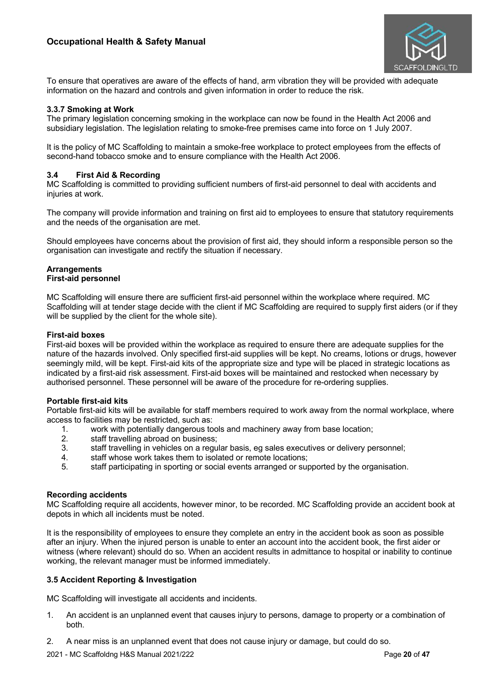

To ensure that operatives are aware of the effects of hand, arm vibration they will be provided with adequate information on the hazard and controls and given information in order to reduce the risk.

### **3.3.7 Smoking at Work**

The primary legislation concerning smoking in the workplace can now be found in the Health Act 2006 and subsidiary legislation. The legislation relating to smoke-free premises came into force on 1 July 2007.

It is the policy of MC Scaffolding to maintain a smoke-free workplace to protect employees from the effects of second-hand tobacco smoke and to ensure compliance with the Health Act 2006.

### **3.4 First Aid & Recording**

MC Scaffolding is committed to providing sufficient numbers of first-aid personnel to deal with accidents and injuries at work.

The company will provide information and training on first aid to employees to ensure that statutory requirements and the needs of the organisation are met.

Should employees have concerns about the provision of first aid, they should inform a responsible person so the organisation can investigate and rectify the situation if necessary.

#### **Arrangements First-aid personnel**

MC Scaffolding will ensure there are sufficient first-aid personnel within the workplace where required. MC Scaffolding will at tender stage decide with the client if MC Scaffolding are required to supply first aiders (or if they will be supplied by the client for the whole site).

### **First-aid boxes**

First-aid boxes will be provided within the workplace as required to ensure there are adequate supplies for the nature of the hazards involved. Only specified first-aid supplies will be kept. No creams, lotions or drugs, however seemingly mild, will be kept. First-aid kits of the appropriate size and type will be placed in strategic locations as indicated by a first-aid risk assessment. First-aid boxes will be maintained and restocked when necessary by authorised personnel. These personnel will be aware of the procedure for re-ordering supplies.

### **Portable first-aid kits**

Portable first-aid kits will be available for staff members required to work away from the normal workplace, where access to facilities may be restricted, such as:

- 1. work with potentially dangerous tools and machinery away from base location;
- 2. staff travelling abroad on business;
- 3. staff travelling in vehicles on a regular basis, eg sales executives or delivery personnel;
- 4. staff whose work takes them to isolated or remote locations;
- 5. staff participating in sporting or social events arranged or supported by the organisation.

### **Recording accidents**

MC Scaffolding require all accidents, however minor, to be recorded. MC Scaffolding provide an accident book at depots in which all incidents must be noted.

It is the responsibility of employees to ensure they complete an entry in the accident book as soon as possible after an injury. When the injured person is unable to enter an account into the accident book, the first aider or witness (where relevant) should do so. When an accident results in admittance to hospital or inability to continue working, the relevant manager must be informed immediately.

### **3.5 Accident Reporting & Investigation**

MC Scaffolding will investigate all accidents and incidents.

- 1. An accident is an unplanned event that causes injury to persons, damage to property or a combination of both.
- 2. A near miss is an unplanned event that does not cause injury or damage, but could do so.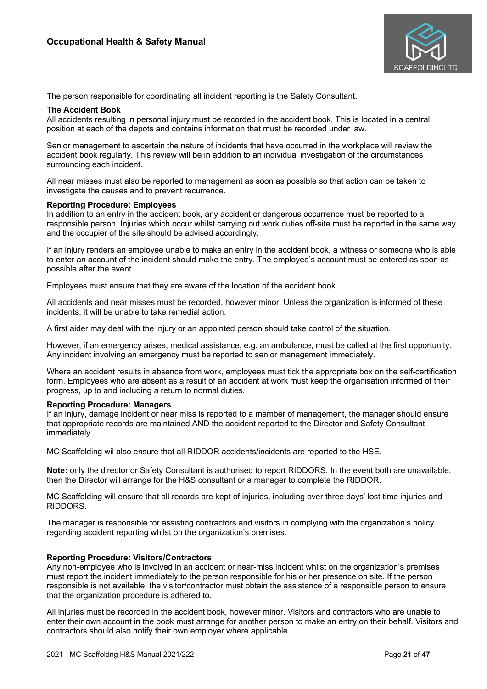

The person responsible for coordinating all incident reporting is the Safety Consultant.

### **The Accident Book**

All accidents resulting in personal injury must be recorded in the accident book. This is located in a central position at each of the depots and contains information that must be recorded under law.

Senior management to ascertain the nature of incidents that have occurred in the workplace will review the accident book regularly. This review will be in addition to an individual investigation of the circumstances surrounding each incident.

All near misses must also be reported to management as soon as possible so that action can be taken to investigate the causes and to prevent recurrence.

#### **Reporting Procedure: Employees**

In addition to an entry in the accident book, any accident or dangerous occurrence must be reported to a responsible person. Injuries which occur whilst carrying out work duties off-site must be reported in the same way and the occupier of the site should be advised accordingly.

If an injury renders an employee unable to make an entry in the accident book, a witness or someone who is able to enter an account of the incident should make the entry. The employee's account must be entered as soon as possible after the event.

Employees must ensure that they are aware of the location of the accident book.

All accidents and near misses must be recorded, however minor. Unless the organization is informed of these incidents, it will be unable to take remedial action.

A first aider may deal with the injury or an appointed person should take control of the situation.

However, if an emergency arises, medical assistance, e.g. an ambulance, must be called at the first opportunity. Any incident involving an emergency must be reported to senior management immediately.

Where an accident results in absence from work, employees must tick the appropriate box on the self-certification form. Employees who are absent as a result of an accident at work must keep the organisation informed of their progress, up to and including a return to normal duties.

# **Reporting Procedure: Managers**

If an injury, damage incident or near miss is reported to a member of management, the manager should ensure that appropriate records are maintained AND the accident reported to the Director and Safety Consultant immediately.

MC Scaffolding wil also ensure that all RIDDOR accidents/incidents are reported to the HSE.

**Note:** only the director or Safety Consultant is authorised to report RIDDORS. In the event both are unavailable, then the Director will arrange for the H&S consultant or a manager to complete the RIDDOR.

MC Scaffolding will ensure that all records are kept of injuries, including over three days' lost time injuries and RIDDORS.

The manager is responsible for assisting contractors and visitors in complying with the organization's policy regarding accident reporting whilst on the organization's premises.

### **Reporting Procedure: Visitors/Contractors**

Any non-employee who is involved in an accident or near-miss incident whilst on the organization's premises must report the incident immediately to the person responsible for his or her presence on site. If the person responsible is not available, the visitor/contractor must obtain the assistance of a responsible person to ensure that the organization procedure is adhered to.

All injuries must be recorded in the accident book, however minor. Visitors and contractors who are unable to enter their own account in the book must arrange for another person to make an entry on their behalf. Visitors and contractors should also notify their own employer where applicable.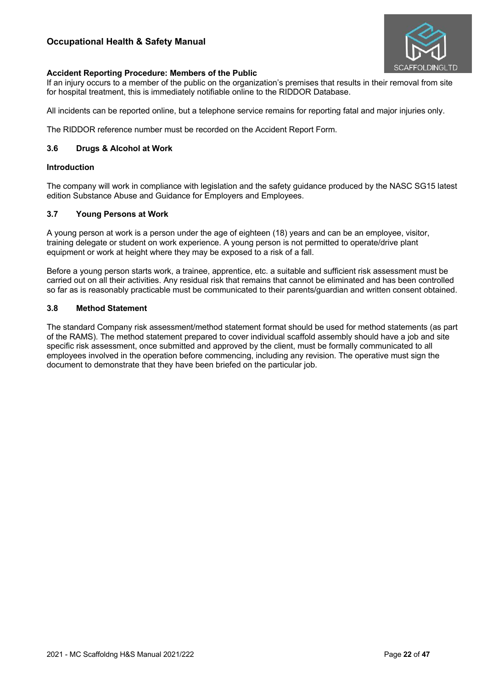

# **Accident Reporting Procedure: Members of the Public**

If an injury occurs to a member of the public on the organization's premises that results in their removal from site for hospital treatment, this is immediately notifiable online to the RIDDOR Database.

All incidents can be reported online, but a telephone service remains for reporting fatal and major injuries only.

The RIDDOR reference number must be recorded on the Accident Report Form.

### **3.6 Drugs & Alcohol at Work**

### **Introduction**

The company will work in compliance with legislation and the safety guidance produced by the NASC SG15 latest edition Substance Abuse and Guidance for Employers and Employees.

### **3.7 Young Persons at Work**

A young person at work is a person under the age of eighteen (18) years and can be an employee, visitor, training delegate or student on work experience. A young person is not permitted to operate/drive plant equipment or work at height where they may be exposed to a risk of a fall.

Before a young person starts work, a trainee, apprentice, etc. a suitable and sufficient risk assessment must be carried out on all their activities. Any residual risk that remains that cannot be eliminated and has been controlled so far as is reasonably practicable must be communicated to their parents/guardian and written consent obtained.

### **3.8 Method Statement**

The standard Company risk assessment/method statement format should be used for method statements (as part of the RAMS). The method statement prepared to cover individual scaffold assembly should have a job and site specific risk assessment, once submitted and approved by the client, must be formally communicated to all employees involved in the operation before commencing, including any revision. The operative must sign the document to demonstrate that they have been briefed on the particular job.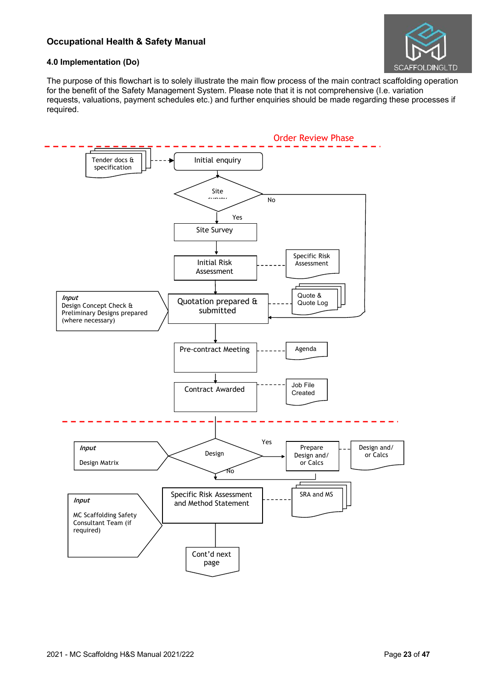

# **4.0 Implementation (Do)**

The purpose of this flowchart is to solely illustrate the main flow process of the main contract scaffolding operation for the benefit of the Safety Management System. Please note that it is not comprehensive (I.e. variation requests, valuations, payment schedules etc.) and further enquiries should be made regarding these processes if required.

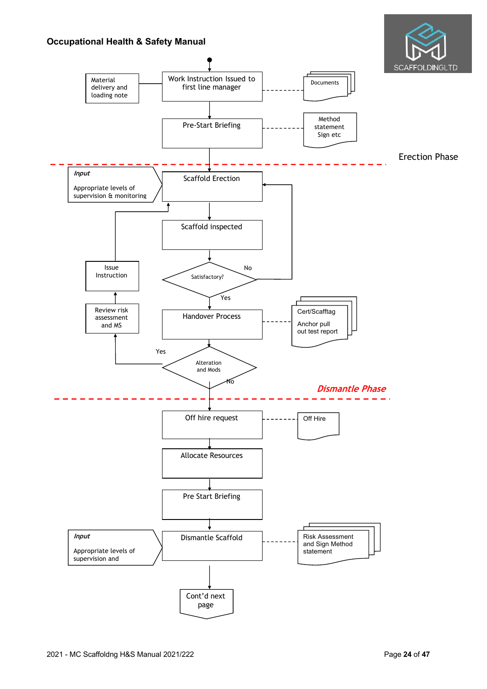

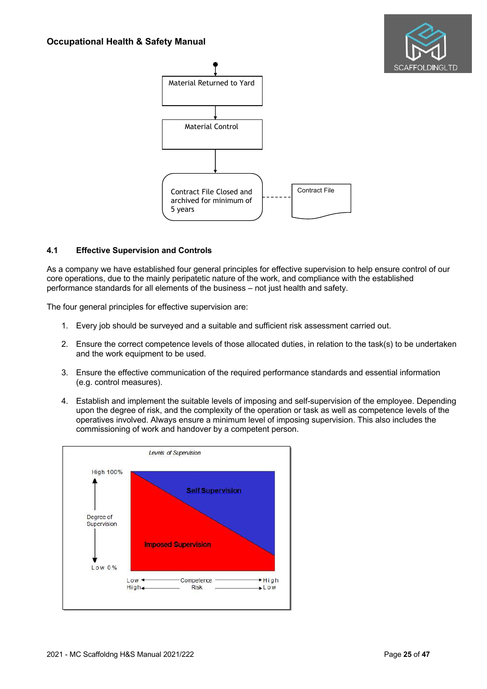



### **4.1 Effective Supervision and Controls**

As a company we have established four general principles for effective supervision to help ensure control of our core operations, due to the mainly peripatetic nature of the work, and compliance with the established performance standards for all elements of the business – not just health and safety.

The four general principles for effective supervision are:

- 1. Every job should be surveyed and a suitable and sufficient risk assessment carried out.
- 2. Ensure the correct competence levels of those allocated duties, in relation to the task(s) to be undertaken and the work equipment to be used.
- 3. Ensure the effective communication of the required performance standards and essential information (e.g. control measures).
- 4. Establish and implement the suitable levels of imposing and self-supervision of the employee. Depending upon the degree of risk, and the complexity of the operation or task as well as competence levels of the operatives involved. Always ensure a minimum level of imposing supervision. This also includes the commissioning of work and handover by a competent person.

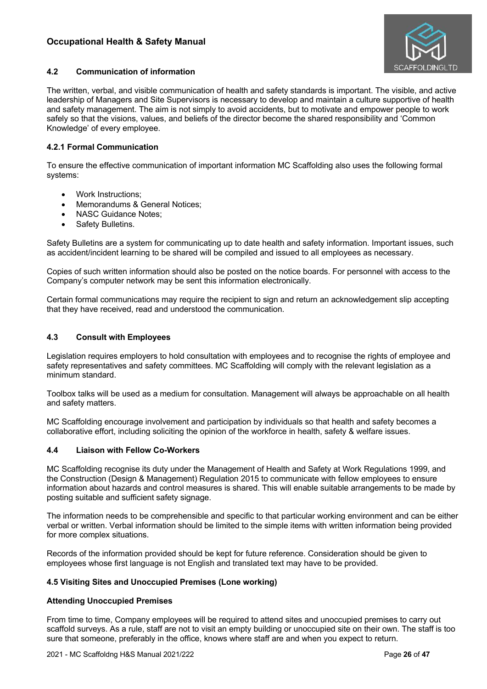

# **4.2 Communication of information**

The written, verbal, and visible communication of health and safety standards is important. The visible, and active leadership of Managers and Site Supervisors is necessary to develop and maintain a culture supportive of health and safety management. The aim is not simply to avoid accidents, but to motivate and empower people to work safely so that the visions, values, and beliefs of the director become the shared responsibility and 'Common Knowledge' of every employee.

# **4.2.1 Formal Communication**

To ensure the effective communication of important information MC Scaffolding also uses the following formal systems:

- Work Instructions;
- Memorandums & General Notices:
- NASC Guidance Notes;
- Safety Bulletins.

Safety Bulletins are a system for communicating up to date health and safety information. Important issues, such as accident/incident learning to be shared will be compiled and issued to all employees as necessary.

Copies of such written information should also be posted on the notice boards. For personnel with access to the Company's computer network may be sent this information electronically.

Certain formal communications may require the recipient to sign and return an acknowledgement slip accepting that they have received, read and understood the communication.

# **4.3 Consult with Employees**

Legislation requires employers to hold consultation with employees and to recognise the rights of employee and safety representatives and safety committees. MC Scaffolding will comply with the relevant legislation as a minimum standard.

Toolbox talks will be used as a medium for consultation. Management will always be approachable on all health and safety matters.

MC Scaffolding encourage involvement and participation by individuals so that health and safety becomes a collaborative effort, including soliciting the opinion of the workforce in health, safety & welfare issues.

# **4.4 Liaison with Fellow Co-Workers**

MC Scaffolding recognise its duty under the Management of Health and Safety at Work Regulations 1999, and the Construction (Design & Management) Regulation 2015 to communicate with fellow employees to ensure information about hazards and control measures is shared. This will enable suitable arrangements to be made by posting suitable and sufficient safety signage.

The information needs to be comprehensible and specific to that particular working environment and can be either verbal or written. Verbal information should be limited to the simple items with written information being provided for more complex situations.

Records of the information provided should be kept for future reference. Consideration should be given to employees whose first language is not English and translated text may have to be provided.

# **4.5 Visiting Sites and Unoccupied Premises (Lone working)**

# **Attending Unoccupied Premises**

From time to time, Company employees will be required to attend sites and unoccupied premises to carry out scaffold surveys. As a rule, staff are not to visit an empty building or unoccupied site on their own. The staff is too sure that someone, preferably in the office, knows where staff are and when you expect to return.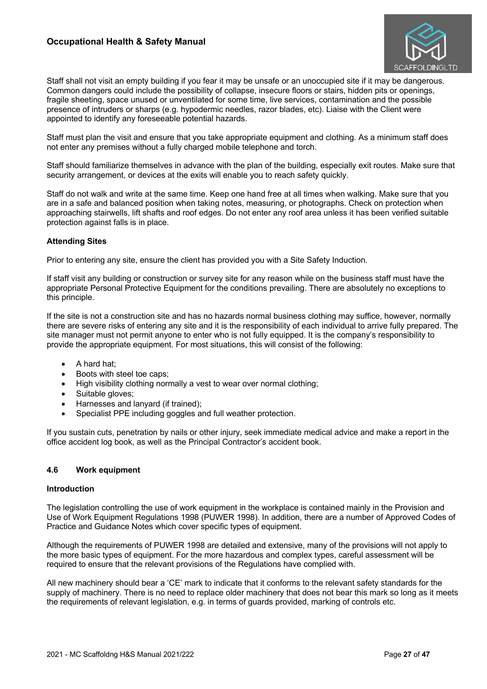

Staff shall not visit an empty building if you fear it may be unsafe or an unoccupied site if it may be dangerous. Common dangers could include the possibility of collapse, insecure floors or stairs, hidden pits or openings, fragile sheeting, space unused or unventilated for some time, live services, contamination and the possible presence of intruders or sharps (e.g. hypodermic needles, razor blades, etc). Liaise with the Client were appointed to identify any foreseeable potential hazards.

Staff must plan the visit and ensure that you take appropriate equipment and clothing. As a minimum staff does not enter any premises without a fully charged mobile telephone and torch.

Staff should familiarize themselves in advance with the plan of the building, especially exit routes. Make sure that security arrangement, or devices at the exits will enable you to reach safety quickly.

Staff do not walk and write at the same time. Keep one hand free at all times when walking. Make sure that you are in a safe and balanced position when taking notes, measuring, or photographs. Check on protection when approaching stairwells, lift shafts and roof edges. Do not enter any roof area unless it has been verified suitable protection against falls is in place.

### **Attending Sites**

Prior to entering any site, ensure the client has provided you with a Site Safety Induction.

If staff visit any building or construction or survey site for any reason while on the business staff must have the appropriate Personal Protective Equipment for the conditions prevailing. There are absolutely no exceptions to this principle.

If the site is not a construction site and has no hazards normal business clothing may suffice, however, normally there are severe risks of entering any site and it is the responsibility of each individual to arrive fully prepared. The site manager must not permit anyone to enter who is not fully equipped. It is the company's responsibility to provide the appropriate equipment. For most situations, this will consist of the following:

- A hard hat;
- Boots with steel toe caps;
- High visibility clothing normally a vest to wear over normal clothing:
- Suitable gloves;
- Harnesses and lanyard (if trained);
- Specialist PPE including goggles and full weather protection.

If you sustain cuts, penetration by nails or other injury, seek immediate medical advice and make a report in the office accident log book, as well as the Principal Contractor's accident book.

### **4.6 Work equipment**

### **Introduction**

The legislation controlling the use of work equipment in the workplace is contained mainly in the Provision and Use of Work Equipment Regulations 1998 (PUWER 1998). In addition, there are a number of Approved Codes of Practice and Guidance Notes which cover specific types of equipment.

Although the requirements of PUWER 1998 are detailed and extensive, many of the provisions will not apply to the more basic types of equipment. For the more hazardous and complex types, careful assessment will be required to ensure that the relevant provisions of the Regulations have complied with.

All new machinery should bear a 'CE' mark to indicate that it conforms to the relevant safety standards for the supply of machinery. There is no need to replace older machinery that does not bear this mark so long as it meets the requirements of relevant legislation, e.g. in terms of guards provided, marking of controls etc.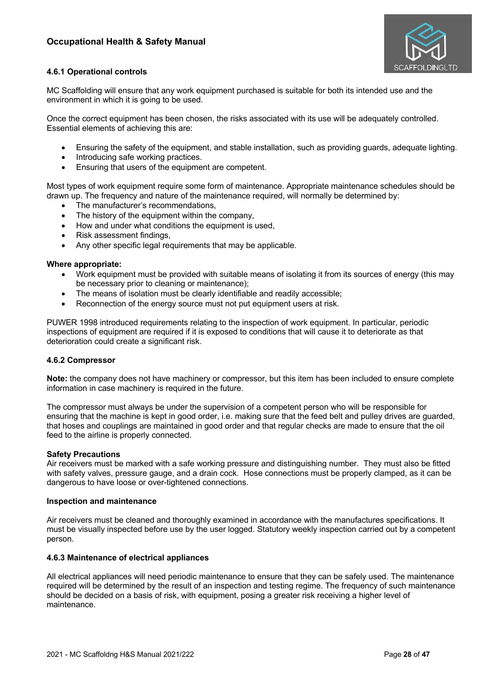

# **4.6.1 Operational controls**

MC Scaffolding will ensure that any work equipment purchased is suitable for both its intended use and the environment in which it is going to be used.

Once the correct equipment has been chosen, the risks associated with its use will be adequately controlled. Essential elements of achieving this are:

- Ensuring the safety of the equipment, and stable installation, such as providing guards, adequate lighting.
- Introducing safe working practices.
- Ensuring that users of the equipment are competent.

Most types of work equipment require some form of maintenance. Appropriate maintenance schedules should be drawn up. The frequency and nature of the maintenance required, will normally be determined by:

- The manufacturer's recommendations,
- The history of the equipment within the company,
- How and under what conditions the equipment is used,
- Risk assessment findings,
- Any other specific legal requirements that may be applicable.

### **Where appropriate:**

- Work equipment must be provided with suitable means of isolating it from its sources of energy (this may be necessary prior to cleaning or maintenance);
- The means of isolation must be clearly identifiable and readily accessible;
- Reconnection of the energy source must not put equipment users at risk.

PUWER 1998 introduced requirements relating to the inspection of work equipment. In particular, periodic inspections of equipment are required if it is exposed to conditions that will cause it to deteriorate as that deterioration could create a significant risk.

### **4.6.2 Compressor**

**Note:** the company does not have machinery or compressor, but this item has been included to ensure complete information in case machinery is required in the future.

The compressor must always be under the supervision of a competent person who will be responsible for ensuring that the machine is kept in good order, i.e. making sure that the feed belt and pulley drives are guarded, that hoses and couplings are maintained in good order and that regular checks are made to ensure that the oil feed to the airline is properly connected.

### **Safety Precautions**

Air receivers must be marked with a safe working pressure and distinguishing number. They must also be fitted with safety valves, pressure gauge, and a drain cock. Hose connections must be properly clamped, as it can be dangerous to have loose or over-tightened connections.

#### **Inspection and maintenance**

Air receivers must be cleaned and thoroughly examined in accordance with the manufactures specifications. It must be visually inspected before use by the user logged. Statutory weekly inspection carried out by a competent person.

### **4.6.3 Maintenance of electrical appliances**

All electrical appliances will need periodic maintenance to ensure that they can be safely used. The maintenance required will be determined by the result of an inspection and testing regime. The frequency of such maintenance should be decided on a basis of risk, with equipment, posing a greater risk receiving a higher level of maintenance.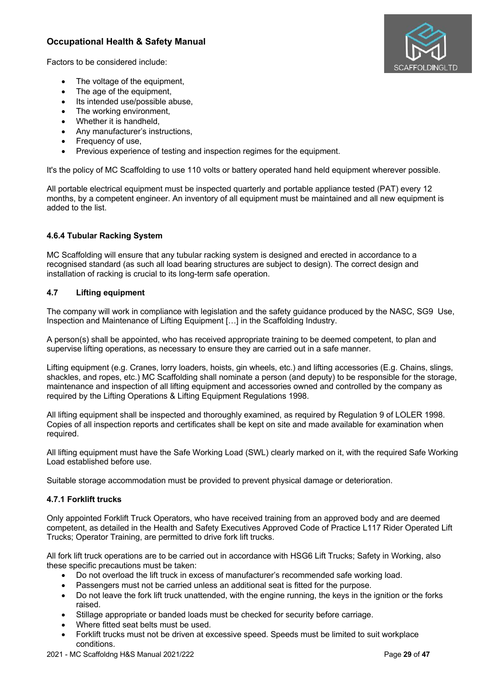

Factors to be considered include:

- The voltage of the equipment,
- The age of the equipment,
- Its intended use/possible abuse,
- The working environment,
- Whether it is handheld,
- Any manufacturer's instructions,
- Frequency of use,
- Previous experience of testing and inspection regimes for the equipment.

It's the policy of MC Scaffolding to use 110 volts or battery operated hand held equipment wherever possible.

All portable electrical equipment must be inspected quarterly and portable appliance tested (PAT) every 12 months, by a competent engineer. An inventory of all equipment must be maintained and all new equipment is added to the list.

# **4.6.4 Tubular Racking System**

MC Scaffolding will ensure that any tubular racking system is designed and erected in accordance to a recognised standard (as such all load bearing structures are subject to design). The correct design and installation of racking is crucial to its long-term safe operation.

# **4.7 Lifting equipment**

The company will work in compliance with legislation and the safety guidance produced by the NASC, SG9 Use, Inspection and Maintenance of Lifting Equipment […] in the Scaffolding Industry.

A person(s) shall be appointed, who has received appropriate training to be deemed competent, to plan and supervise lifting operations, as necessary to ensure they are carried out in a safe manner.

Lifting equipment (e.g. Cranes, lorry loaders, hoists, gin wheels, etc.) and lifting accessories (E.g. Chains, slings, shackles, and ropes, etc.) MC Scaffolding shall nominate a person (and deputy) to be responsible for the storage, maintenance and inspection of all lifting equipment and accessories owned and controlled by the company as required by the Lifting Operations & Lifting Equipment Regulations 1998.

All lifting equipment shall be inspected and thoroughly examined, as required by Regulation 9 of LOLER 1998. Copies of all inspection reports and certificates shall be kept on site and made available for examination when required.

All lifting equipment must have the Safe Working Load (SWL) clearly marked on it, with the required Safe Working Load established before use.

Suitable storage accommodation must be provided to prevent physical damage or deterioration.

# **4.7.1 Forklift trucks**

Only appointed Forklift Truck Operators, who have received training from an approved body and are deemed competent, as detailed in the Health and Safety Executives Approved Code of Practice L117 Rider Operated Lift Trucks; Operator Training, are permitted to drive fork lift trucks.

All fork lift truck operations are to be carried out in accordance with HSG6 Lift Trucks; Safety in Working, also these specific precautions must be taken:

- Do not overload the lift truck in excess of manufacturer's recommended safe working load.
- Passengers must not be carried unless an additional seat is fitted for the purpose.
- Do not leave the fork lift truck unattended, with the engine running, the keys in the ignition or the forks raised.
- Stillage appropriate or banded loads must be checked for security before carriage.
- Where fitted seat belts must be used.
- Forklift trucks must not be driven at excessive speed. Speeds must be limited to suit workplace conditions.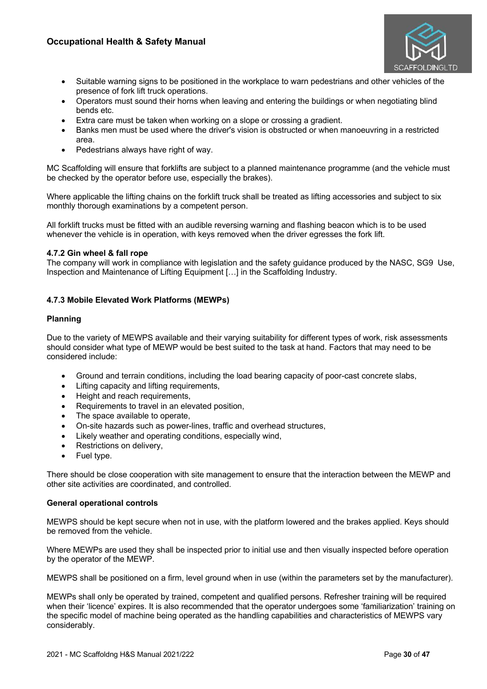

- Suitable warning signs to be positioned in the workplace to warn pedestrians and other vehicles of the presence of fork lift truck operations.
- Operators must sound their horns when leaving and entering the buildings or when negotiating blind bends etc.
- Extra care must be taken when working on a slope or crossing a gradient.
- Banks men must be used where the driver's vision is obstructed or when manoeuvring in a restricted area.
- Pedestrians always have right of way.

MC Scaffolding will ensure that forklifts are subject to a planned maintenance programme (and the vehicle must be checked by the operator before use, especially the brakes).

Where applicable the lifting chains on the forklift truck shall be treated as lifting accessories and subject to six monthly thorough examinations by a competent person.

All forklift trucks must be fitted with an audible reversing warning and flashing beacon which is to be used whenever the vehicle is in operation, with keys removed when the driver egresses the fork lift.

### **4.7.2 Gin wheel & fall rope**

The company will work in compliance with legislation and the safety guidance produced by the NASC, SG9 Use, Inspection and Maintenance of Lifting Equipment […] in the Scaffolding Industry.

# **4.7.3 Mobile Elevated Work Platforms (MEWPs)**

### **Planning**

Due to the variety of MEWPS available and their varying suitability for different types of work, risk assessments should consider what type of MEWP would be best suited to the task at hand. Factors that may need to be considered include:

- Ground and terrain conditions, including the load bearing capacity of poor-cast concrete slabs,
- Lifting capacity and lifting requirements,
- Height and reach requirements,
- Requirements to travel in an elevated position,
- The space available to operate,
- On-site hazards such as power-lines, traffic and overhead structures,
- Likely weather and operating conditions, especially wind,
- Restrictions on delivery,
- Fuel type.

There should be close cooperation with site management to ensure that the interaction between the MEWP and other site activities are coordinated, and controlled.

### **General operational controls**

MEWPS should be kept secure when not in use, with the platform lowered and the brakes applied. Keys should be removed from the vehicle.

Where MEWPs are used they shall be inspected prior to initial use and then visually inspected before operation by the operator of the MEWP.

MEWPS shall be positioned on a firm, level ground when in use (within the parameters set by the manufacturer).

MEWPs shall only be operated by trained, competent and qualified persons. Refresher training will be required when their 'licence' expires. It is also recommended that the operator undergoes some 'familiarization' training on the specific model of machine being operated as the handling capabilities and characteristics of MEWPS vary considerably.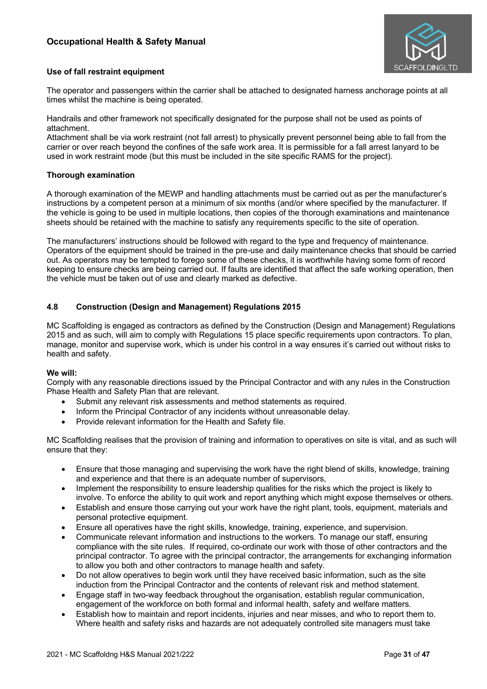

### **Use of fall restraint equipment**

The operator and passengers within the carrier shall be attached to designated harness anchorage points at all times whilst the machine is being operated.

Handrails and other framework not specifically designated for the purpose shall not be used as points of attachment.

Attachment shall be via work restraint (not fall arrest) to physically prevent personnel being able to fall from the carrier or over reach beyond the confines of the safe work area. It is permissible for a fall arrest lanyard to be used in work restraint mode (but this must be included in the site specific RAMS for the project).

# **Thorough examination**

A thorough examination of the MEWP and handling attachments must be carried out as per the manufacturer's instructions by a competent person at a minimum of six months (and/or where specified by the manufacturer. If the vehicle is going to be used in multiple locations, then copies of the thorough examinations and maintenance sheets should be retained with the machine to satisfy any requirements specific to the site of operation.

The manufacturers' instructions should be followed with regard to the type and frequency of maintenance. Operators of the equipment should be trained in the pre-use and daily maintenance checks that should be carried out. As operators may be tempted to forego some of these checks, it is worthwhile having some form of record keeping to ensure checks are being carried out. If faults are identified that affect the safe working operation, then the vehicle must be taken out of use and clearly marked as defective.

# **4.8 Construction (Design and Management) Regulations 2015**

MC Scaffolding is engaged as contractors as defined by the Construction (Design and Management) Regulations 2015 and as such, will aim to comply with Regulations 15 place specific requirements upon contractors. To plan, manage, monitor and supervise work, which is under his control in a way ensures it's carried out without risks to health and safety.

### **We will:**

Comply with any reasonable directions issued by the Principal Contractor and with any rules in the Construction Phase Health and Safety Plan that are relevant.

- Submit any relevant risk assessments and method statements as required.
- Inform the Principal Contractor of any incidents without unreasonable delay.
- Provide relevant information for the Health and Safety file.

MC Scaffolding realises that the provision of training and information to operatives on site is vital, and as such will ensure that they:

- Ensure that those managing and supervising the work have the right blend of skills, knowledge, training and experience and that there is an adequate number of supervisors,
- Implement the responsibility to ensure leadership qualities for the risks which the project is likely to involve. To enforce the ability to quit work and report anything which might expose themselves or others.
- Establish and ensure those carrying out your work have the right plant, tools, equipment, materials and personal protective equipment.
- Ensure all operatives have the right skills, knowledge, training, experience, and supervision.
- Communicate relevant information and instructions to the workers. To manage our staff, ensuring compliance with the site rules. If required, co-ordinate our work with those of other contractors and the principal contractor. To agree with the principal contractor, the arrangements for exchanging information to allow you both and other contractors to manage health and safety.
- Do not allow operatives to begin work until they have received basic information, such as the site induction from the Principal Contractor and the contents of relevant risk and method statement.
- Engage staff in two-way feedback throughout the organisation, establish regular communication, engagement of the workforce on both formal and informal health, safety and welfare matters.
- Establish how to maintain and report incidents, injuries and near misses, and who to report them to. Where health and safety risks and hazards are not adequately controlled site managers must take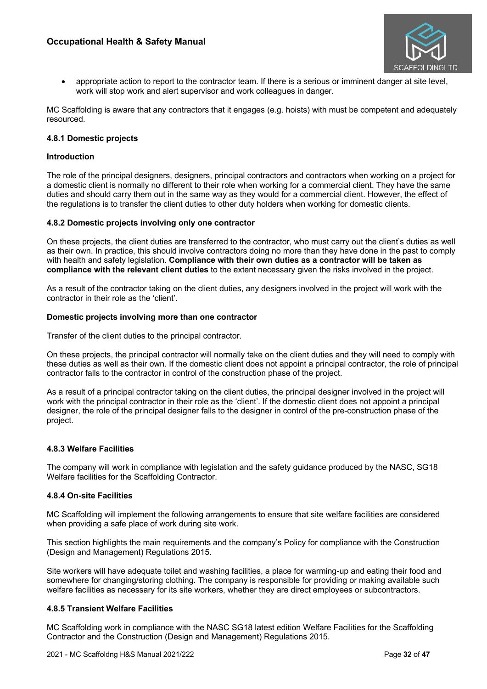

• appropriate action to report to the contractor team. If there is a serious or imminent danger at site level, work will stop work and alert supervisor and work colleagues in danger.

MC Scaffolding is aware that any contractors that it engages (e.g. hoists) with must be competent and adequately resourced.

# **4.8.1 Domestic projects**

### **Introduction**

The role of the principal designers, designers, principal contractors and contractors when working on a project for a domestic client is normally no different to their role when working for a commercial client. They have the same duties and should carry them out in the same way as they would for a commercial client. However, the effect of the regulations is to transfer the client duties to other duty holders when working for domestic clients.

### **4.8.2 Domestic projects involving only one contractor**

On these projects, the client duties are transferred to the contractor, who must carry out the client's duties as well as their own. In practice, this should involve contractors doing no more than they have done in the past to comply with health and safety legislation. **Compliance with their own duties as a contractor will be taken as compliance with the relevant client duties** to the extent necessary given the risks involved in the project.

As a result of the contractor taking on the client duties, any designers involved in the project will work with the contractor in their role as the 'client'.

### **Domestic projects involving more than one contractor**

Transfer of the client duties to the principal contractor.

On these projects, the principal contractor will normally take on the client duties and they will need to comply with these duties as well as their own. If the domestic client does not appoint a principal contractor, the role of principal contractor falls to the contractor in control of the construction phase of the project.

As a result of a principal contractor taking on the client duties, the principal designer involved in the project will work with the principal contractor in their role as the 'client'. If the domestic client does not appoint a principal designer, the role of the principal designer falls to the designer in control of the pre-construction phase of the project.

### **4.8.3 Welfare Facilities**

The company will work in compliance with legislation and the safety guidance produced by the NASC, SG18 Welfare facilities for the Scaffolding Contractor.

### **4.8.4 On-site Facilities**

MC Scaffolding will implement the following arrangements to ensure that site welfare facilities are considered when providing a safe place of work during site work.

This section highlights the main requirements and the company's Policy for compliance with the Construction (Design and Management) Regulations 2015.

Site workers will have adequate toilet and washing facilities, a place for warming-up and eating their food and somewhere for changing/storing clothing. The company is responsible for providing or making available such welfare facilities as necessary for its site workers, whether they are direct employees or subcontractors.

# **4.8.5 Transient Welfare Facilities**

MC Scaffolding work in compliance with the NASC SG18 latest edition Welfare Facilities for the Scaffolding Contractor and the Construction (Design and Management) Regulations 2015.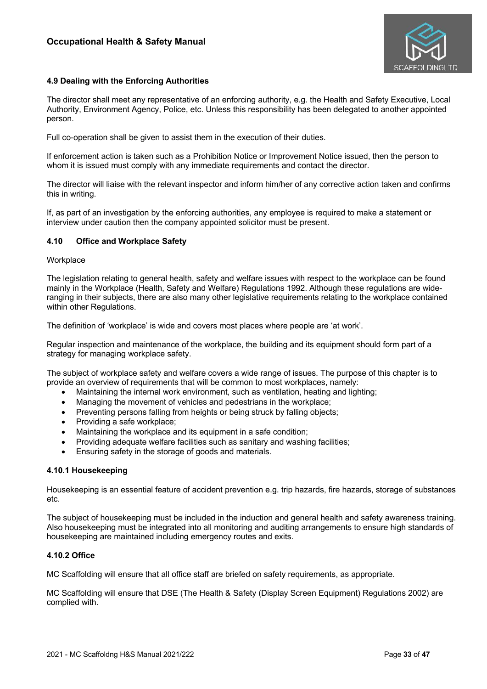

### **4.9 Dealing with the Enforcing Authorities**

The director shall meet any representative of an enforcing authority, e.g. the Health and Safety Executive, Local Authority, Environment Agency, Police, etc. Unless this responsibility has been delegated to another appointed person.

Full co-operation shall be given to assist them in the execution of their duties.

If enforcement action is taken such as a Prohibition Notice or Improvement Notice issued, then the person to whom it is issued must comply with any immediate requirements and contact the director.

The director will liaise with the relevant inspector and inform him/her of any corrective action taken and confirms this in writing.

If, as part of an investigation by the enforcing authorities, any employee is required to make a statement or interview under caution then the company appointed solicitor must be present.

#### **4.10 Office and Workplace Safety**

#### **Workplace**

The legislation relating to general health, safety and welfare issues with respect to the workplace can be found mainly in the Workplace (Health, Safety and Welfare) Regulations 1992. Although these regulations are wideranging in their subjects, there are also many other legislative requirements relating to the workplace contained within other Regulations.

The definition of 'workplace' is wide and covers most places where people are 'at work'.

Regular inspection and maintenance of the workplace, the building and its equipment should form part of a strategy for managing workplace safety.

The subject of workplace safety and welfare covers a wide range of issues. The purpose of this chapter is to provide an overview of requirements that will be common to most workplaces, namely:

- Maintaining the internal work environment, such as ventilation, heating and lighting;
- Managing the movement of vehicles and pedestrians in the workplace:
- Preventing persons falling from heights or being struck by falling objects;
- Providing a safe workplace:
- Maintaining the workplace and its equipment in a safe condition;
- Providing adequate welfare facilities such as sanitary and washing facilities;
- Ensuring safety in the storage of goods and materials.

#### **4.10.1 Housekeeping**

Housekeeping is an essential feature of accident prevention e.g. trip hazards, fire hazards, storage of substances etc.

The subject of housekeeping must be included in the induction and general health and safety awareness training. Also housekeeping must be integrated into all monitoring and auditing arrangements to ensure high standards of housekeeping are maintained including emergency routes and exits.

### **4.10.2 Office**

MC Scaffolding will ensure that all office staff are briefed on safety requirements, as appropriate.

MC Scaffolding will ensure that DSE (The Health & Safety (Display Screen Equipment) Regulations 2002) are complied with.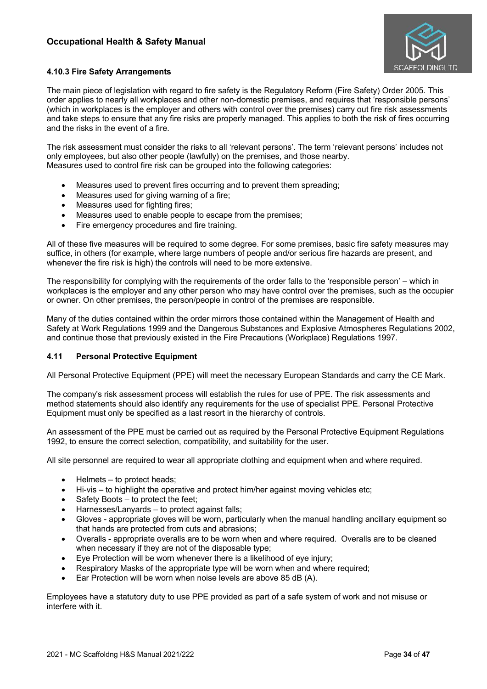

# **4.10.3 Fire Safety Arrangements**

The main piece of legislation with regard to fire safety is the Regulatory Reform (Fire Safety) Order 2005. This order applies to nearly all workplaces and other non-domestic premises, and requires that 'responsible persons' (which in workplaces is the employer and others with control over the premises) carry out fire risk assessments and take steps to ensure that any fire risks are properly managed. This applies to both the risk of fires occurring and the risks in the event of a fire.

The risk assessment must consider the risks to all 'relevant persons'. The term 'relevant persons' includes not only employees, but also other people (lawfully) on the premises, and those nearby. Measures used to control fire risk can be grouped into the following categories:

- Measures used to prevent fires occurring and to prevent them spreading:
- Measures used for giving warning of a fire;
- Measures used for fighting fires;
- Measures used to enable people to escape from the premises;
- Fire emergency procedures and fire training.

All of these five measures will be required to some degree. For some premises, basic fire safety measures may suffice, in others (for example, where large numbers of people and/or serious fire hazards are present, and whenever the fire risk is high) the controls will need to be more extensive.

The responsibility for complying with the requirements of the order falls to the 'responsible person' – which in workplaces is the employer and any other person who may have control over the premises, such as the occupier or owner. On other premises, the person/people in control of the premises are responsible.

Many of the duties contained within the order mirrors those contained within the Management of Health and Safety at Work Regulations 1999 and the Dangerous Substances and Explosive Atmospheres Regulations 2002, and continue those that previously existed in the Fire Precautions (Workplace) Regulations 1997.

# **4.11 Personal Protective Equipment**

All Personal Protective Equipment (PPE) will meet the necessary European Standards and carry the CE Mark.

The company's risk assessment process will establish the rules for use of PPE. The risk assessments and method statements should also identify any requirements for the use of specialist PPE. Personal Protective Equipment must only be specified as a last resort in the hierarchy of controls.

An assessment of the PPE must be carried out as required by the Personal Protective Equipment Regulations 1992, to ensure the correct selection, compatibility, and suitability for the user.

All site personnel are required to wear all appropriate clothing and equipment when and where required.

- Helmets to protect heads;
- Hi-vis to highlight the operative and protect him/her against moving vehicles etc;
- Safety Boots to protect the feet;
- Harnesses/Lanyards to protect against falls;
- Gloves appropriate gloves will be worn, particularly when the manual handling ancillary equipment so that hands are protected from cuts and abrasions;
- Overalls appropriate overalls are to be worn when and where required. Overalls are to be cleaned when necessary if they are not of the disposable type;
- Eye Protection will be worn whenever there is a likelihood of eye injury;
- Respiratory Masks of the appropriate type will be worn when and where required;
- Ear Protection will be worn when noise levels are above 85 dB (A).

Employees have a statutory duty to use PPE provided as part of a safe system of work and not misuse or interfere with it.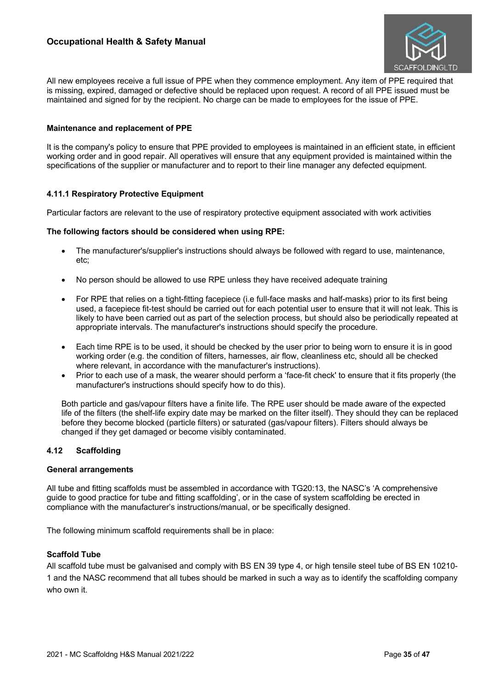

All new employees receive a full issue of PPE when they commence employment. Any item of PPE required that is missing, expired, damaged or defective should be replaced upon request. A record of all PPE issued must be maintained and signed for by the recipient. No charge can be made to employees for the issue of PPE.

### **Maintenance and replacement of PPE**

It is the company's policy to ensure that PPE provided to employees is maintained in an efficient state, in efficient working order and in good repair. All operatives will ensure that any equipment provided is maintained within the specifications of the supplier or manufacturer and to report to their line manager any defected equipment.

### **4.11.1 Respiratory Protective Equipment**

Particular factors are relevant to the use of respiratory protective equipment associated with work activities

### **The following factors should be considered when using RPE:**

- The manufacturer's/supplier's instructions should always be followed with regard to use, maintenance, etc;
- No person should be allowed to use RPE unless they have received adequate training
- For RPE that relies on a tight-fitting facepiece (i.e full-face masks and half-masks) prior to its first being used, a facepiece fit-test should be carried out for each potential user to ensure that it will not leak. This is likely to have been carried out as part of the selection process, but should also be periodically repeated at appropriate intervals. The manufacturer's instructions should specify the procedure.
- Each time RPE is to be used, it should be checked by the user prior to being worn to ensure it is in good working order (e.g. the condition of filters, harnesses, air flow, cleanliness etc, should all be checked where relevant, in accordance with the manufacturer's instructions).
- Prior to each use of a mask, the wearer should perform a 'face-fit check' to ensure that it fits properly (the manufacturer's instructions should specify how to do this).

Both particle and gas/vapour filters have a finite life. The RPE user should be made aware of the expected life of the filters (the shelf-life expiry date may be marked on the filter itself). They should they can be replaced before they become blocked (particle filters) or saturated (gas/vapour filters). Filters should always be changed if they get damaged or become visibly contaminated.

# **4.12 Scaffolding**

### **General arrangements**

All tube and fitting scaffolds must be assembled in accordance with TG20:13, the NASC's 'A comprehensive guide to good practice for tube and fitting scaffolding', or in the case of system scaffolding be erected in compliance with the manufacturer's instructions/manual, or be specifically designed.

The following minimum scaffold requirements shall be in place:

### **Scaffold Tube**

All scaffold tube must be galvanised and comply with BS EN 39 type 4, or high tensile steel tube of BS EN 10210- 1 and the NASC recommend that all tubes should be marked in such a way as to identify the scaffolding company who own it.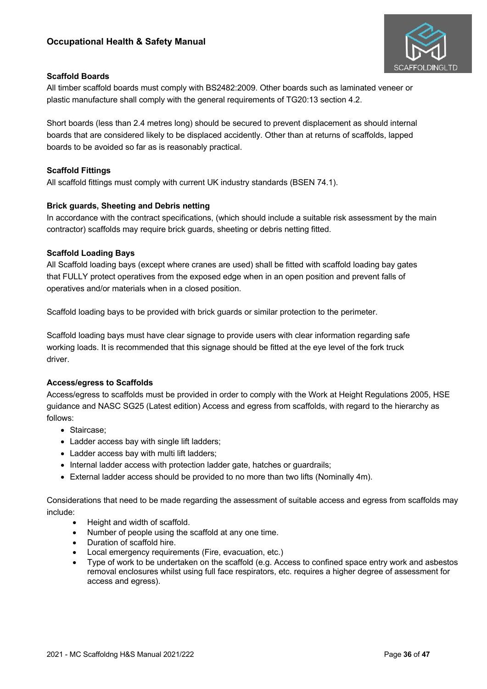

# **Scaffold Boards**

All timber scaffold boards must comply with BS2482:2009. Other boards such as laminated veneer or plastic manufacture shall comply with the general requirements of TG20:13 section 4.2.

Short boards (less than 2.4 metres long) should be secured to prevent displacement as should internal boards that are considered likely to be displaced accidently. Other than at returns of scaffolds, lapped boards to be avoided so far as is reasonably practical.

# **Scaffold Fittings**

All scaffold fittings must comply with current UK industry standards (BSEN 74.1).

# **Brick guards, Sheeting and Debris netting**

In accordance with the contract specifications, (which should include a suitable risk assessment by the main contractor) scaffolds may require brick guards, sheeting or debris netting fitted.

# **Scaffold Loading Bays**

All Scaffold loading bays (except where cranes are used) shall be fitted with scaffold loading bay gates that FULLY protect operatives from the exposed edge when in an open position and prevent falls of operatives and/or materials when in a closed position.

Scaffold loading bays to be provided with brick guards or similar protection to the perimeter.

Scaffold loading bays must have clear signage to provide users with clear information regarding safe working loads. It is recommended that this signage should be fitted at the eye level of the fork truck driver.

# **Access/egress to Scaffolds**

Access/egress to scaffolds must be provided in order to comply with the Work at Height Regulations 2005, HSE guidance and NASC SG25 (Latest edition) Access and egress from scaffolds, with regard to the hierarchy as follows:

- Staircase;
- Ladder access bay with single lift ladders;
- Ladder access bay with multi lift ladders;
- Internal ladder access with protection ladder gate, hatches or guardrails;
- External ladder access should be provided to no more than two lifts (Nominally 4m).

Considerations that need to be made regarding the assessment of suitable access and egress from scaffolds may include:

- Height and width of scaffold.
- Number of people using the scaffold at any one time.
- Duration of scaffold hire.
- Local emergency requirements (Fire, evacuation, etc.)
- Type of work to be undertaken on the scaffold (e.g. Access to confined space entry work and asbestos removal enclosures whilst using full face respirators, etc. requires a higher degree of assessment for access and egress).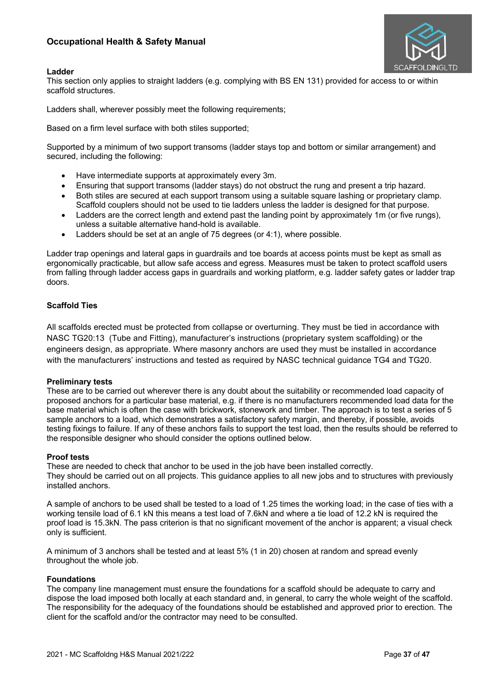

### **Ladder**

This section only applies to straight ladders (e.g. complying with BS EN 131) provided for access to or within scaffold structures.

Ladders shall, wherever possibly meet the following requirements;

Based on a firm level surface with both stiles supported;

Supported by a minimum of two support transoms (ladder stays top and bottom or similar arrangement) and secured, including the following:

- Have intermediate supports at approximately every 3m.
- Ensuring that support transoms (ladder stays) do not obstruct the rung and present a trip hazard.
- Both stiles are secured at each support transom using a suitable square lashing or proprietary clamp. Scaffold couplers should not be used to tie ladders unless the ladder is designed for that purpose.
- Ladders are the correct length and extend past the landing point by approximately 1m (or five rungs), unless a suitable alternative hand-hold is available.
- Ladders should be set at an angle of 75 degrees (or 4:1), where possible.

Ladder trap openings and lateral gaps in guardrails and toe boards at access points must be kept as small as ergonomically practicable, but allow safe access and egress. Measures must be taken to protect scaffold users from falling through ladder access gaps in guardrails and working platform, e.g. ladder safety gates or ladder trap doors.

### **Scaffold Ties**

All scaffolds erected must be protected from collapse or overturning. They must be tied in accordance with NASC TG20:13 (Tube and Fitting), manufacturer's instructions (proprietary system scaffolding) or the engineers design, as appropriate. Where masonry anchors are used they must be installed in accordance with the manufacturers' instructions and tested as required by NASC technical guidance TG4 and TG20.

### **Preliminary tests**

These are to be carried out wherever there is any doubt about the suitability or recommended load capacity of proposed anchors for a particular base material, e.g. if there is no manufacturers recommended load data for the base material which is often the case with brickwork, stonework and timber. The approach is to test a series of 5 sample anchors to a load, which demonstrates a satisfactory safety margin, and thereby, if possible, avoids testing fixings to failure. If any of these anchors fails to support the test load, then the results should be referred to the responsible designer who should consider the options outlined below.

### **Proof tests**

These are needed to check that anchor to be used in the job have been installed correctly. They should be carried out on all projects. This guidance applies to all new jobs and to structures with previously installed anchors.

A sample of anchors to be used shall be tested to a load of 1.25 times the working load; in the case of ties with a working tensile load of 6.1 kN this means a test load of 7.6kN and where a tie load of 12.2 kN is required the proof load is 15.3kN. The pass criterion is that no significant movement of the anchor is apparent; a visual check only is sufficient.

A minimum of 3 anchors shall be tested and at least 5% (1 in 20) chosen at random and spread evenly throughout the whole job.

### **Foundations**

The company line management must ensure the foundations for a scaffold should be adequate to carry and dispose the load imposed both locally at each standard and, in general, to carry the whole weight of the scaffold. The responsibility for the adequacy of the foundations should be established and approved prior to erection. The client for the scaffold and/or the contractor may need to be consulted.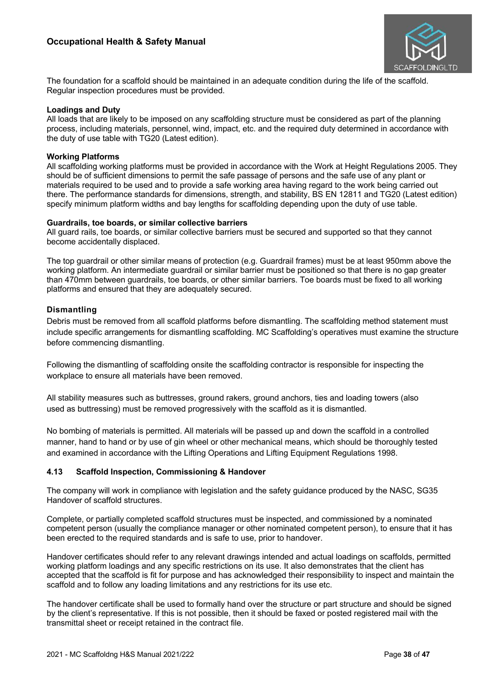

The foundation for a scaffold should be maintained in an adequate condition during the life of the scaffold. Regular inspection procedures must be provided.

### **Loadings and Duty**

All loads that are likely to be imposed on any scaffolding structure must be considered as part of the planning process, including materials, personnel, wind, impact, etc. and the required duty determined in accordance with the duty of use table with TG20 (Latest edition).

### **Working Platforms**

All scaffolding working platforms must be provided in accordance with the Work at Height Regulations 2005. They should be of sufficient dimensions to permit the safe passage of persons and the safe use of any plant or materials required to be used and to provide a safe working area having regard to the work being carried out there. The performance standards for dimensions, strength, and stability, BS EN 12811 and TG20 (Latest edition) specify minimum platform widths and bay lengths for scaffolding depending upon the duty of use table.

### **Guardrails, toe boards, or similar collective barriers**

All guard rails, toe boards, or similar collective barriers must be secured and supported so that they cannot become accidentally displaced.

The top guardrail or other similar means of protection (e.g. Guardrail frames) must be at least 950mm above the working platform. An intermediate guardrail or similar barrier must be positioned so that there is no gap greater than 470mm between guardrails, toe boards, or other similar barriers. Toe boards must be fixed to all working platforms and ensured that they are adequately secured.

# **Dismantling**

Debris must be removed from all scaffold platforms before dismantling. The scaffolding method statement must include specific arrangements for dismantling scaffolding. MC Scaffolding's operatives must examine the structure before commencing dismantling.

Following the dismantling of scaffolding onsite the scaffolding contractor is responsible for inspecting the workplace to ensure all materials have been removed.

All stability measures such as buttresses, ground rakers, ground anchors, ties and loading towers (also used as buttressing) must be removed progressively with the scaffold as it is dismantled.

No bombing of materials is permitted. All materials will be passed up and down the scaffold in a controlled manner, hand to hand or by use of gin wheel or other mechanical means, which should be thoroughly tested and examined in accordance with the Lifting Operations and Lifting Equipment Regulations 1998.

# **4.13 Scaffold Inspection, Commissioning & Handover**

The company will work in compliance with legislation and the safety guidance produced by the NASC, SG35 Handover of scaffold structures.

Complete, or partially completed scaffold structures must be inspected, and commissioned by a nominated competent person (usually the compliance manager or other nominated competent person), to ensure that it has been erected to the required standards and is safe to use, prior to handover.

Handover certificates should refer to any relevant drawings intended and actual loadings on scaffolds, permitted working platform loadings and any specific restrictions on its use. It also demonstrates that the client has accepted that the scaffold is fit for purpose and has acknowledged their responsibility to inspect and maintain the scaffold and to follow any loading limitations and any restrictions for its use etc.

The handover certificate shall be used to formally hand over the structure or part structure and should be signed by the client's representative. If this is not possible, then it should be faxed or posted registered mail with the transmittal sheet or receipt retained in the contract file.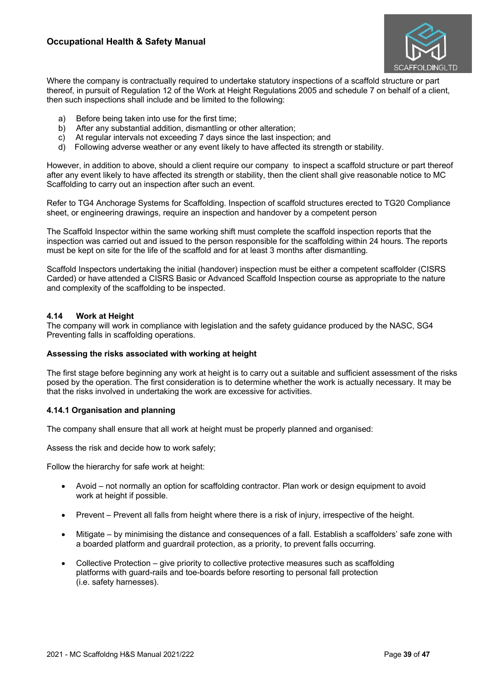

Where the company is contractually required to undertake statutory inspections of a scaffold structure or part thereof, in pursuit of Regulation 12 of the Work at Height Regulations 2005 and schedule 7 on behalf of a client, then such inspections shall include and be limited to the following:

- a) Before being taken into use for the first time;
- b) After any substantial addition, dismantling or other alteration;
- c) At regular intervals not exceeding 7 days since the last inspection; and
- d) Following adverse weather or any event likely to have affected its strength or stability.

However, in addition to above, should a client require our company to inspect a scaffold structure or part thereof after any event likely to have affected its strength or stability, then the client shall give reasonable notice to MC Scaffolding to carry out an inspection after such an event.

Refer to TG4 Anchorage Systems for Scaffolding. Inspection of scaffold structures erected to TG20 Compliance sheet, or engineering drawings, require an inspection and handover by a competent person

The Scaffold Inspector within the same working shift must complete the scaffold inspection reports that the inspection was carried out and issued to the person responsible for the scaffolding within 24 hours. The reports must be kept on site for the life of the scaffold and for at least 3 months after dismantling.

Scaffold Inspectors undertaking the initial (handover) inspection must be either a competent scaffolder (CISRS Carded) or have attended a CISRS Basic or Advanced Scaffold Inspection course as appropriate to the nature and complexity of the scaffolding to be inspected.

### **4.14 Work at Height**

The company will work in compliance with legislation and the safety guidance produced by the NASC, SG4 Preventing falls in scaffolding operations.

### **Assessing the risks associated with working at height**

The first stage before beginning any work at height is to carry out a suitable and sufficient assessment of the risks posed by the operation. The first consideration is to determine whether the work is actually necessary. It may be that the risks involved in undertaking the work are excessive for activities.

# **4.14.1 Organisation and planning**

The company shall ensure that all work at height must be properly planned and organised:

Assess the risk and decide how to work safely;

Follow the hierarchy for safe work at height:

- Avoid not normally an option for scaffolding contractor. Plan work or design equipment to avoid work at height if possible.
- Prevent Prevent all falls from height where there is a risk of injury, irrespective of the height.
- Mitigate by minimising the distance and consequences of a fall. Establish a scaffolders' safe zone with a boarded platform and guardrail protection, as a priority, to prevent falls occurring.
- Collective Protection give priority to collective protective measures such as scaffolding platforms with guard-rails and toe-boards before resorting to personal fall protection (i.e. safety harnesses).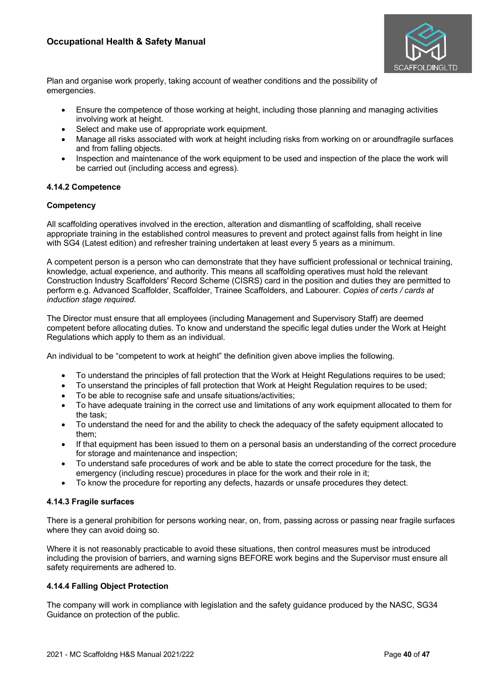

Plan and organise work properly, taking account of weather conditions and the possibility of emergencies.

- Ensure the competence of those working at height, including those planning and managing activities involving work at height.
- Select and make use of appropriate work equipment.
- Manage all risks associated with work at height including risks from working on or aroundfragile surfaces and from falling objects.
- Inspection and maintenance of the work equipment to be used and inspection of the place the work will be carried out (including access and egress).

### **4.14.2 Competence**

### **Competency**

All scaffolding operatives involved in the erection, alteration and dismantling of scaffolding, shall receive appropriate training in the established control measures to prevent and protect against falls from height in line with SG4 (Latest edition) and refresher training undertaken at least every 5 years as a minimum.

A competent person is a person who can demonstrate that they have sufficient professional or technical training, knowledge, actual experience, and authority. This means all scaffolding operatives must hold the relevant Construction Industry Scaffolders' Record Scheme (CISRS) card in the position and duties they are permitted to perform e.g. Advanced Scaffolder, Scaffolder, Trainee Scaffolders, and Labourer. *Copies of certs / cards at induction stage required.*

The Director must ensure that all employees (including Management and Supervisory Staff) are deemed competent before allocating duties. To know and understand the specific legal duties under the Work at Height Regulations which apply to them as an individual.

An individual to be "competent to work at height" the definition given above implies the following.

- To understand the principles of fall protection that the Work at Height Regulations requires to be used;
- To unserstand the principles of fall protection that Work at Height Regulation requires to be used;
- To be able to recognise safe and unsafe situations/activities;
- To have adequate training in the correct use and limitations of any work equipment allocated to them for the task;
- To understand the need for and the ability to check the adequacy of the safety equipment allocated to them;
- If that equipment has been issued to them on a personal basis an understanding of the correct procedure for storage and maintenance and inspection;
- To understand safe procedures of work and be able to state the correct procedure for the task, the emergency (including rescue) procedures in place for the work and their role in it;
- To know the procedure for reporting any defects, hazards or unsafe procedures they detect.

# **4.14.3 Fragile surfaces**

There is a general prohibition for persons working near, on, from, passing across or passing near fragile surfaces where they can avoid doing so.

Where it is not reasonably practicable to avoid these situations, then control measures must be introduced including the provision of barriers, and warning signs BEFORE work begins and the Supervisor must ensure all safety requirements are adhered to.

# **4.14.4 Falling Object Protection**

The company will work in compliance with legislation and the safety guidance produced by the NASC, SG34 Guidance on protection of the public.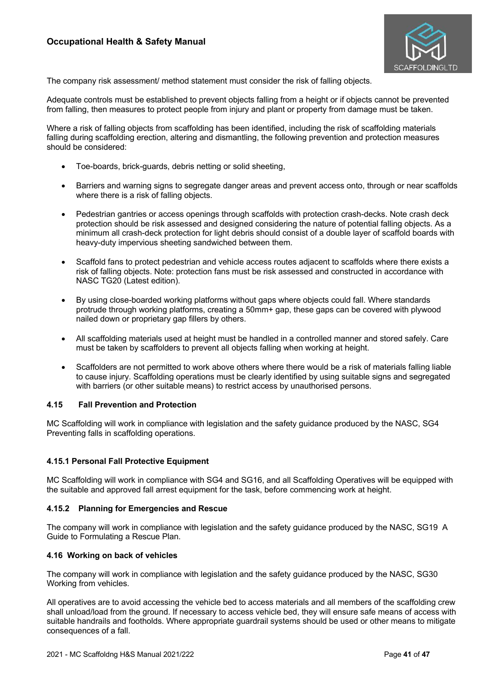

The company risk assessment/ method statement must consider the risk of falling objects.

Adequate controls must be established to prevent objects falling from a height or if objects cannot be prevented from falling, then measures to protect people from injury and plant or property from damage must be taken.

Where a risk of falling objects from scaffolding has been identified, including the risk of scaffolding materials falling during scaffolding erection, altering and dismantling, the following prevention and protection measures should be considered:

- Toe-boards, brick-guards, debris netting or solid sheeting,
- Barriers and warning signs to segregate danger areas and prevent access onto, through or near scaffolds where there is a risk of falling objects.
- Pedestrian gantries or access openings through scaffolds with protection crash-decks. Note crash deck protection should be risk assessed and designed considering the nature of potential falling objects. As a minimum all crash-deck protection for light debris should consist of a double layer of scaffold boards with heavy-duty impervious sheeting sandwiched between them.
- Scaffold fans to protect pedestrian and vehicle access routes adjacent to scaffolds where there exists a risk of falling objects. Note: protection fans must be risk assessed and constructed in accordance with NASC TG20 (Latest edition).
- By using close-boarded working platforms without gaps where objects could fall. Where standards protrude through working platforms, creating a 50mm+ gap, these gaps can be covered with plywood nailed down or proprietary gap fillers by others.
- All scaffolding materials used at height must be handled in a controlled manner and stored safely. Care must be taken by scaffolders to prevent all objects falling when working at height.
- Scaffolders are not permitted to work above others where there would be a risk of materials falling liable to cause injury. Scaffolding operations must be clearly identified by using suitable signs and segregated with barriers (or other suitable means) to restrict access by unauthorised persons.

### **4.15 Fall Prevention and Protection**

MC Scaffolding will work in compliance with legislation and the safety guidance produced by the NASC, SG4 Preventing falls in scaffolding operations.

### **4.15.1 Personal Fall Protective Equipment**

MC Scaffolding will work in compliance with SG4 and SG16, and all Scaffolding Operatives will be equipped with the suitable and approved fall arrest equipment for the task, before commencing work at height.

### **4.15.2 Planning for Emergencies and Rescue**

The company will work in compliance with legislation and the safety guidance produced by the NASC, SG19 A Guide to Formulating a Rescue Plan.

### **4.16 Working on back of vehicles**

The company will work in compliance with legislation and the safety guidance produced by the NASC, SG30 Working from vehicles.

All operatives are to avoid accessing the vehicle bed to access materials and all members of the scaffolding crew shall unload/load from the ground. If necessary to access vehicle bed, they will ensure safe means of access with suitable handrails and footholds. Where appropriate guardrail systems should be used or other means to mitigate consequences of a fall.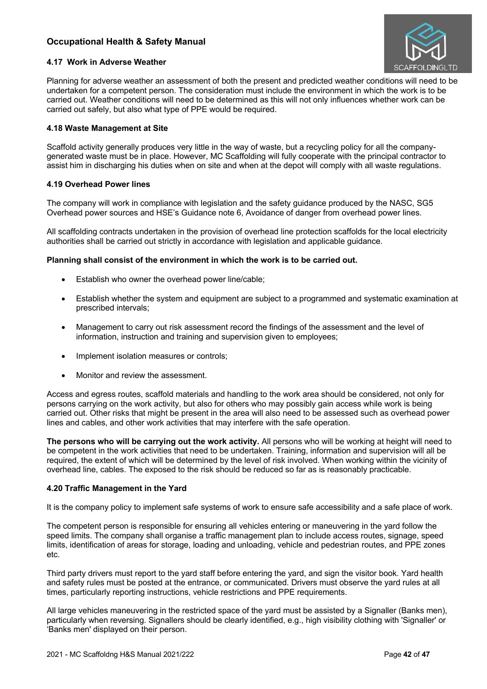

### **4.17 Work in Adverse Weather**

Planning for adverse weather an assessment of both the present and predicted weather conditions will need to be undertaken for a competent person. The consideration must include the environment in which the work is to be carried out. Weather conditions will need to be determined as this will not only influences whether work can be carried out safely, but also what type of PPE would be required.

### **4.18 Waste Management at Site**

Scaffold activity generally produces very little in the way of waste, but a recycling policy for all the companygenerated waste must be in place. However, MC Scaffolding will fully cooperate with the principal contractor to assist him in discharging his duties when on site and when at the depot will comply with all waste regulations.

### **4.19 Overhead Power lines**

The company will work in compliance with legislation and the safety guidance produced by the NASC, SG5 Overhead power sources and HSE's Guidance note 6, Avoidance of danger from overhead power lines.

All scaffolding contracts undertaken in the provision of overhead line protection scaffolds for the local electricity authorities shall be carried out strictly in accordance with legislation and applicable guidance.

### **Planning shall consist of the environment in which the work is to be carried out.**

- Establish who owner the overhead power line/cable;
- Establish whether the system and equipment are subject to a programmed and systematic examination at prescribed intervals;
- Management to carry out risk assessment record the findings of the assessment and the level of information, instruction and training and supervision given to employees;
- Implement isolation measures or controls:
- Monitor and review the assessment.

Access and egress routes, scaffold materials and handling to the work area should be considered, not only for persons carrying on the work activity, but also for others who may possibly gain access while work is being carried out. Other risks that might be present in the area will also need to be assessed such as overhead power lines and cables, and other work activities that may interfere with the safe operation.

**The persons who will be carrying out the work activity.** All persons who will be working at height will need to be competent in the work activities that need to be undertaken. Training, information and supervision will all be required, the extent of which will be determined by the level of risk involved. When working within the vicinity of overhead line, cables. The exposed to the risk should be reduced so far as is reasonably practicable.

# **4.20 Traffic Management in the Yard**

It is the company policy to implement safe systems of work to ensure safe accessibility and a safe place of work.

The competent person is responsible for ensuring all vehicles entering or maneuvering in the yard follow the speed limits. The company shall organise a traffic management plan to include access routes, signage, speed limits, identification of areas for storage, loading and unloading, vehicle and pedestrian routes, and PPE zones etc.

Third party drivers must report to the yard staff before entering the yard, and sign the visitor book. Yard health and safety rules must be posted at the entrance, or communicated. Drivers must observe the yard rules at all times, particularly reporting instructions, vehicle restrictions and PPE requirements.

All large vehicles maneuvering in the restricted space of the yard must be assisted by a Signaller (Banks men), particularly when reversing. Signallers should be clearly identified, e.g., high visibility clothing with 'Signaller' or 'Banks men' displayed on their person.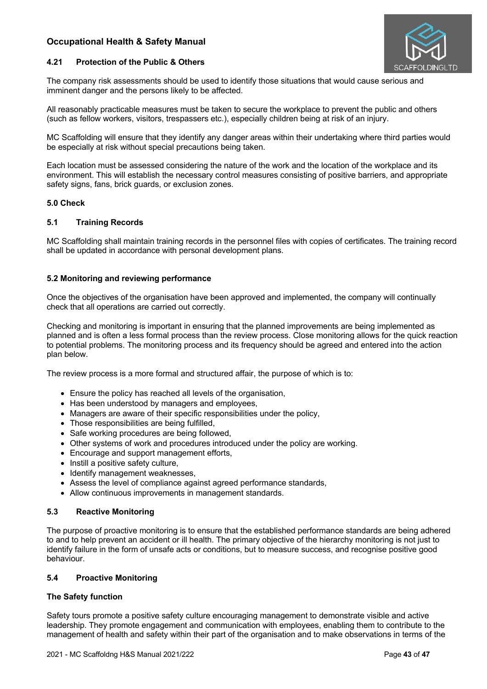

### **4.21 Protection of the Public & Others**

The company risk assessments should be used to identify those situations that would cause serious and imminent danger and the persons likely to be affected.

All reasonably practicable measures must be taken to secure the workplace to prevent the public and others (such as fellow workers, visitors, trespassers etc.), especially children being at risk of an injury.

MC Scaffolding will ensure that they identify any danger areas within their undertaking where third parties would be especially at risk without special precautions being taken.

Each location must be assessed considering the nature of the work and the location of the workplace and its environment. This will establish the necessary control measures consisting of positive barriers, and appropriate safety signs, fans, brick guards, or exclusion zones.

### **5.0 Check**

### **5.1 Training Records**

MC Scaffolding shall maintain training records in the personnel files with copies of certificates. The training record shall be updated in accordance with personal development plans.

### **5.2 Monitoring and reviewing performance**

Once the objectives of the organisation have been approved and implemented, the company will continually check that all operations are carried out correctly.

Checking and monitoring is important in ensuring that the planned improvements are being implemented as planned and is often a less formal process than the review process. Close monitoring allows for the quick reaction to potential problems. The monitoring process and its frequency should be agreed and entered into the action plan below.

The review process is a more formal and structured affair, the purpose of which is to:

- Ensure the policy has reached all levels of the organisation,
- Has been understood by managers and employees,
- Managers are aware of their specific responsibilities under the policy,
- Those responsibilities are being fulfilled,
- Safe working procedures are being followed,
- Other systems of work and procedures introduced under the policy are working.
- Encourage and support management efforts,
- Instill a positive safety culture.
- Identify management weaknesses,
- Assess the level of compliance against agreed performance standards,
- Allow continuous improvements in management standards.

### **5.3 Reactive Monitoring**

The purpose of proactive monitoring is to ensure that the established performance standards are being adhered to and to help prevent an accident or ill health. The primary objective of the hierarchy monitoring is not just to identify failure in the form of unsafe acts or conditions, but to measure success, and recognise positive good behaviour.

### **5.4 Proactive Monitoring**

### **The Safety function**

Safety tours promote a positive safety culture encouraging management to demonstrate visible and active leadership. They promote engagement and communication with employees, enabling them to contribute to the management of health and safety within their part of the organisation and to make observations in terms of the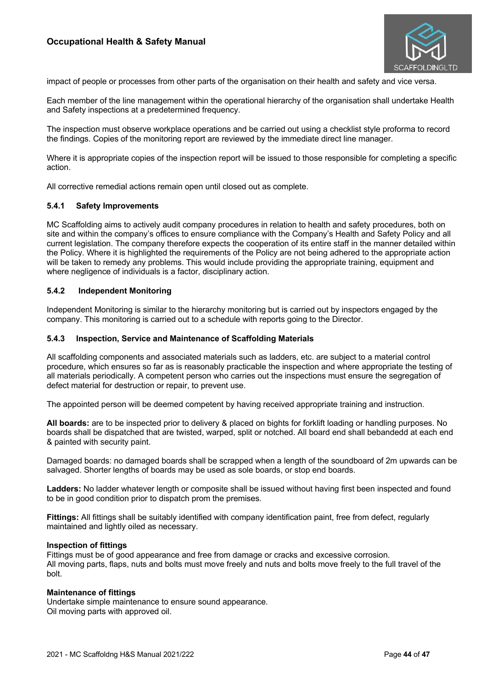

impact of people or processes from other parts of the organisation on their health and safety and vice versa.

Each member of the line management within the operational hierarchy of the organisation shall undertake Health and Safety inspections at a predetermined frequency.

The inspection must observe workplace operations and be carried out using a checklist style proforma to record the findings. Copies of the monitoring report are reviewed by the immediate direct line manager.

Where it is appropriate copies of the inspection report will be issued to those responsible for completing a specific action.

All corrective remedial actions remain open until closed out as complete.

### **5.4.1 Safety Improvements**

MC Scaffolding aims to actively audit company procedures in relation to health and safety procedures, both on site and within the company's offices to ensure compliance with the Company's Health and Safety Policy and all current legislation. The company therefore expects the cooperation of its entire staff in the manner detailed within the Policy. Where it is highlighted the requirements of the Policy are not being adhered to the appropriate action will be taken to remedy any problems. This would include providing the appropriate training, equipment and where negligence of individuals is a factor, disciplinary action.

### **5.4.2 Independent Monitoring**

Independent Monitoring is similar to the hierarchy monitoring but is carried out by inspectors engaged by the company. This monitoring is carried out to a schedule with reports going to the Director.

#### **5.4.3 Inspection, Service and Maintenance of Scaffolding Materials**

All scaffolding components and associated materials such as ladders, etc. are subject to a material control procedure, which ensures so far as is reasonably practicable the inspection and where appropriate the testing of all materials periodically. A competent person who carries out the inspections must ensure the segregation of defect material for destruction or repair, to prevent use.

The appointed person will be deemed competent by having received appropriate training and instruction.

**All boards:** are to be inspected prior to delivery & placed on bights for forklift loading or handling purposes. No boards shall be dispatched that are twisted, warped, split or notched. All board end shall bebandedd at each end & painted with security paint.

Damaged boards: no damaged boards shall be scrapped when a length of the soundboard of 2m upwards can be salvaged. Shorter lengths of boards may be used as sole boards, or stop end boards.

**Ladders:** No ladder whatever length or composite shall be issued without having first been inspected and found to be in good condition prior to dispatch prom the premises.

**Fittings:** All fittings shall be suitably identified with company identification paint, free from defect, regularly maintained and lightly oiled as necessary.

#### **Inspection of fittings**

Fittings must be of good appearance and free from damage or cracks and excessive corrosion. All moving parts, flaps, nuts and bolts must move freely and nuts and bolts move freely to the full travel of the bolt.

#### **Maintenance of fittings**

Undertake simple maintenance to ensure sound appearance. Oil moving parts with approved oil.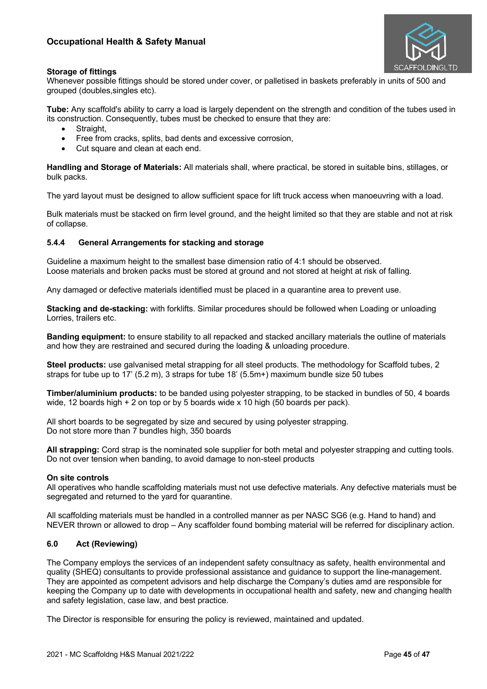

# **Storage of fittings**

Whenever possible fittings should be stored under cover, or palletised in baskets preferably in units of 500 and grouped (doubles,singles etc).

**Tube:** Any scaffold's ability to carry a load is largely dependent on the strength and condition of the tubes used in its construction. Consequently, tubes must be checked to ensure that they are:

- Straight.
- Free from cracks, splits, bad dents and excessive corrosion,
- Cut square and clean at each end.

**Handling and Storage of Materials:** All materials shall, where practical, be stored in suitable bins, stillages, or bulk packs.

The yard layout must be designed to allow sufficient space for lift truck access when manoeuvring with a load.

Bulk materials must be stacked on firm level ground, and the height limited so that they are stable and not at risk of collapse.

### **5.4.4 General Arrangements for stacking and storage**

Guideline a maximum height to the smallest base dimension ratio of 4:1 should be observed. Loose materials and broken packs must be stored at ground and not stored at height at risk of falling.

Any damaged or defective materials identified must be placed in a quarantine area to prevent use.

**Stacking and de-stacking:** with forklifts. Similar procedures should be followed when Loading or unloading Lorries, trailers etc.

**Banding equipment:** to ensure stability to all repacked and stacked ancillary materials the outline of materials and how they are restrained and secured during the loading & unloading procedure.

**Steel products:** use galvanised metal strapping for all steel products. The methodology for Scaffold tubes, 2 straps for tube up to 17' (5.2 m), 3 straps for tube 18' (5.5m+) maximum bundle size 50 tubes

**Timber/aluminium products:** to be banded using polyester strapping, to be stacked in bundles of 50, 4 boards wide, 12 boards high + 2 on top or by 5 boards wide x 10 high (50 boards per pack).

All short boards to be segregated by size and secured by using polyester strapping. Do not store more than 7 bundles high, 350 boards

**All strapping:** Cord strap is the nominated sole supplier for both metal and polyester strapping and cutting tools. Do not over tension when banding, to avoid damage to non-steel products

### **On site controls**

All operatives who handle scaffolding materials must not use defective materials. Any defective materials must be segregated and returned to the yard for quarantine.

All scaffolding materials must be handled in a controlled manner as per NASC SG6 (e.g. Hand to hand) and NEVER thrown or allowed to drop – Any scaffolder found bombing material will be referred for disciplinary action.

# **6.0 Act (Reviewing)**

The Company employs the services of an independent safety consultnacy as safety, health environmental and quality (SHEQ) consultants to provide professional assistance and guidance to support the line-management. They are appointed as competent advisors and help discharge the Company's duties amd are responsible for keeping the Company up to date with developments in occupational health and safety, new and changing health and safety legislation, case law, and best practice.

The Director is responsible for ensuring the policy is reviewed, maintained and updated.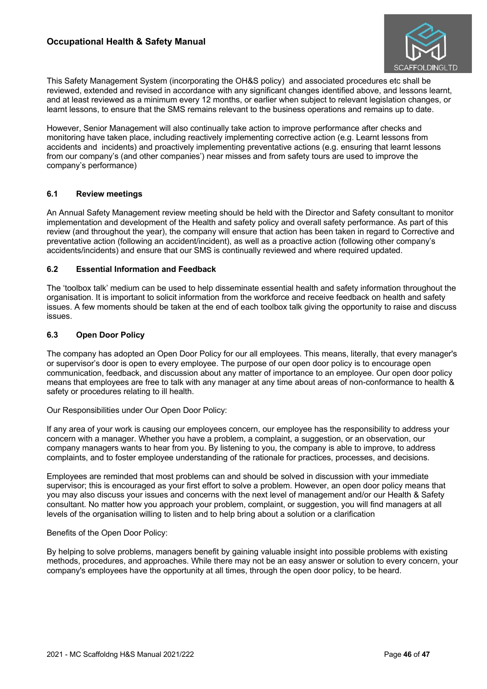

This Safety Management System (incorporating the OH&S policy) and associated procedures etc shall be reviewed, extended and revised in accordance with any significant changes identified above, and lessons learnt, and at least reviewed as a minimum every 12 months, or earlier when subject to relevant legislation changes, or learnt lessons, to ensure that the SMS remains relevant to the business operations and remains up to date.

However, Senior Management will also continually take action to improve performance after checks and monitoring have taken place, including reactively implementing corrective action (e.g. Learnt lessons from accidents and incidents) and proactively implementing preventative actions (e.g. ensuring that learnt lessons from our company's (and other companies') near misses and from safety tours are used to improve the company's performance)

### **6.1 Review meetings**

An Annual Safety Management review meeting should be held with the Director and Safety consultant to monitor implementation and development of the Health and safety policy and overall safety performance. As part of this review (and throughout the year), the company will ensure that action has been taken in regard to Corrective and preventative action (following an accident/incident), as well as a proactive action (following other company's accidents/incidents) and ensure that our SMS is continually reviewed and where required updated.

### **6.2 Essential Information and Feedback**

The 'toolbox talk' medium can be used to help disseminate essential health and safety information throughout the organisation. It is important to solicit information from the workforce and receive feedback on health and safety issues. A few moments should be taken at the end of each toolbox talk giving the opportunity to raise and discuss issues.

### **6.3 Open Door Policy**

The company has adopted an Open Door Policy for our all employees. This means, literally, that every manager's or supervisor's door is open to every employee. The purpose of our open door policy is to encourage open communication, feedback, and discussion about any matter of importance to an employee. Our open door policy means that employees are free to talk with any manager at any time about areas of non-conformance to health & safety or procedures relating to ill health.

Our Responsibilities under Our Open Door Policy:

If any area of your work is causing our employees concern, our employee has the responsibility to address your concern with a manager. Whether you have a problem, a complaint, a suggestion, or an observation, our company managers wants to hear from you. By listening to you, the company is able to improve, to address complaints, and to foster employee understanding of the rationale for practices, processes, and decisions.

Employees are reminded that most problems can and should be solved in discussion with your immediate supervisor; this is encouraged as your first effort to solve a problem. However, an open door policy means that you may also discuss your issues and concerns with the next level of management and/or our Health & Safety consultant. No matter how you approach your problem, complaint, or suggestion, you will find managers at all levels of the organisation willing to listen and to help bring about a solution or a clarification

### Benefits of the Open Door Policy:

By helping to solve problems, managers benefit by gaining valuable insight into possible problems with existing methods, procedures, and approaches. While there may not be an easy answer or solution to every concern, your company's employees have the opportunity at all times, through the open door policy, to be heard.